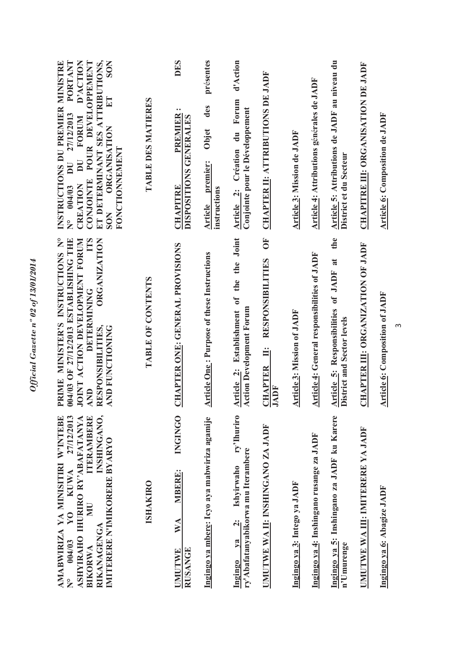| INSTRUCTIONS DU PREMIER MINISTRE<br>POUR DEVELOPPEMENT<br>ET DETERMINANT SES ATTRIBUTIONS,<br><b>SON</b><br>PORTANT<br>D'ACTION<br>ET<br>27/12/2013<br>FORUM<br><b>ORGANISATION</b><br><b>FONCTIONNEMENT</b><br>$\overline{\mathbf{D}}$<br>$\mathbf{D} \mathbf{U}$<br><b>CONJOINTE</b><br>CREATION<br>$N^{\circ}$ 004/03<br><b>SON</b><br><b>TTS</b> | TABLE DES MATIERES | <b>DES</b><br>$\bullet\; \bullet$<br>PREMIER<br>DISPOSITIONS GENERALES<br><b>CHAPITRE</b> | présentes<br>des<br>Objet<br>premier:<br>instructions<br>Article | d'Action<br>Article 2: Création du Forum<br>Conjointe pour le Développement                            | <b>CHAPTER II: ATTRIBUTIONS DE JADF</b><br>$\overline{O}$       | Article 3: Mission de JADF        | Article 4: Attributions générales de JADF          | Article 5: Attributions de JADF au niveau du<br>District et du Secteur<br>the | <b>CHAPITRE III: ORGANISATION DE JADF</b> | Article 6: Composition de JADF             |
|------------------------------------------------------------------------------------------------------------------------------------------------------------------------------------------------------------------------------------------------------------------------------------------------------------------------------------------------------|--------------------|-------------------------------------------------------------------------------------------|------------------------------------------------------------------|--------------------------------------------------------------------------------------------------------|-----------------------------------------------------------------|-----------------------------------|----------------------------------------------------|-------------------------------------------------------------------------------|-------------------------------------------|--------------------------------------------|
| PRIME MINISTER'S INSTRUCTIONS N°<br>04/03 OF 27/12/2013 ESTABLISHING THE<br>OINT ACTION DEVELOPMENT FORUM<br><b>ORGANIZATION</b><br>DETERMINING<br>RESPONSIBILITIES,<br><b>AND FUNCTIONING</b><br><b>AND</b>                                                                                                                                         | TABLE OF CONTENTS  | <b>CHAPTER ONE: GENERAL PROVISIONS</b>                                                    | <b>Article One: Purpose of these Instructions</b>                | Article 2: Establishment of the the Joint<br><b>Action Development Forum</b>                           | <b>RESPONSIBILITIES</b><br>$\ddot{=}$<br><b>CHAPTER</b><br>JADF | <b>Article 3: Mission of JADF</b> | <b>Article 4: General responsibilities of JADF</b> | Article 5: Responsibilities of JADF at<br>District and Sector levels          | CHAPTER III: ORGANIZATION OF JADF         | <b>Article 6: Composition of JADF</b><br>S |
| INSHINGANO,<br>AMABWIRIZA YA MINISITIRI W'INTEBE<br>27/12/2013<br><b>TERAMBERE</b><br>ASHYIRAHO IHURIRO RY'ABAFATANYA<br>IMITERERE N'IMIKORERE BYARYO<br><b>KUWA</b><br>$\overline{\mathbf{M}}$<br>$\overline{X}$<br>RIKANAGENGA<br>004/03<br><b>BIKORWA</b><br>$\overline{\mathbf{z}}$                                                              | <b>ISHAKIRO</b>    | <b>INGINGO</b><br>MBERE:<br>WA<br>RUSANGE<br><b>UMUTWE</b>                                | Ingingo ya mbere: Icyo aya mabwiriza agamije                     | ry'Ihuriro<br>ry'Abafatanyabikorwa mu Iterambere<br>Ishyirwaho<br>$\ddot{\mathbf{q}}$<br>ya<br>Ingingo | UMUTWE WA II: INSHINGANO ZA JADF                                | Ingingo ya 3: Intego ya JADF      | Ingingo ya 4: Inshingano rusange za JADF           | Ingingo ya 5: Inshingano za JADF ku Karere<br>n'Umurenge                      | UMUTWE WA III: IMITERERE YA JADF          | Ingingo ya 6: Abagize JADF                 |

Official Gazette nº 02 of 13/01/2014 *Official Gazette nº 02 of 13/01/2014*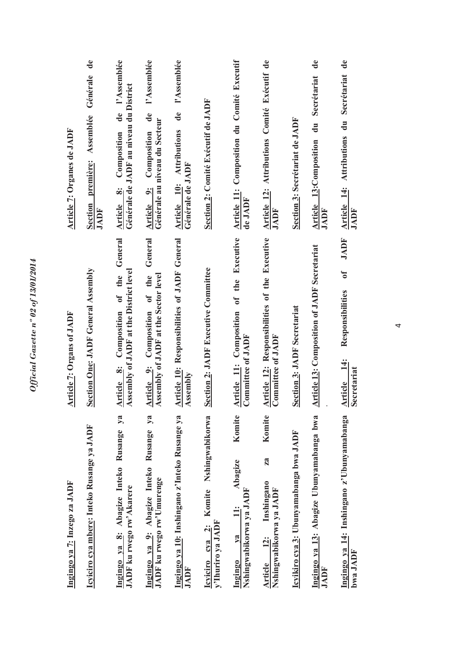| Ingingo ya 7: Inzego za JADF                                                          | <b>Article 7: Organs of JADF</b>                                                         | Article 7: Organes de JADF                                                                          |
|---------------------------------------------------------------------------------------|------------------------------------------------------------------------------------------|-----------------------------------------------------------------------------------------------------|
| Icyiciro cya mbere: Inteko Rusange ya JADF                                            | Section One: JADF General Assembly                                                       | $\ddot{a}$<br>Générale<br>Section première: Assemblée<br><b>JADF</b>                                |
| ya<br>Ingingo ya 8: Abagize Inteko Rusange<br>JADF ku rwego rw'Akarere                | General<br>Assembly of JADF at the District level<br>of the<br>Composition<br>Article 8: | l'Assemblée<br>Générale de JADF au niveau du District<br>$\ddot{a}$<br>Composition<br>Article 8:    |
| $y_3$<br>Ingingo ya 9: Abagize Inteko Rusange<br>JADF ku rwego rw'Umurenge            | General<br>Assembly of JADF at the Sector level<br>of the<br>Article 9: Composition      | l'Assemblée<br>$\mathbf{d}\mathbf{e}$<br>Générale au niveau du Secteur<br>Composition<br>Article 9: |
| Ingingo ya 10: Inshingano z'Inteko Rusange ya<br>JADF                                 | Article 10: Responsibilities of JADF General<br>Assembly                                 | l'Assemblée<br>$\mathbf{d}\mathbf{e}$<br><b>Attributions</b><br>Générale de JADF<br>Article 10:     |
| Nshingwabikorwa<br>Komite<br>y'Ihuriro ya JADF<br>$\ddot{\mathbf{a}}$<br>Icyiciro cya | Section 2: JADF Executive Committee                                                      | Section 2: Comité Exécutif de JADF                                                                  |
| Komite<br>Abagize<br>Nshingwabikorwa ya JADF<br>$\ddot{=}$<br>$Y$<br>Ingingo          | Article 11: Composition of the Executive<br>Committee of JADF                            | <b>Article 11: Composition du Comité Executif</b><br>de JADF                                        |
| Komite<br>za<br>Inshingano<br>Nshingwabikorwa ya JADF<br>$\ddot{2}$ :<br>Article      | Article 12: Responsibilities of the Executive<br>Committee of JADF                       | Article 12: Attributions Comité Exécutif de<br>JADF                                                 |
| Icyikiro cya 3: Ubunyamabanga bwa JADF                                                | <b>Section 3: JADF Secretariat</b>                                                       | Section 3: Secrétariat de JADF                                                                      |
| Ingingo ya 13: Abagize Ubunyamabanga bwa<br>JADF                                      | <b>Article 13: Composition of JADF Secretariat</b>                                       | $\mathbf{d}\mathbf{e}$<br>Secrétariat<br>Article 13:Composition du<br>JADF                          |
| Ingingo ya 14: Inshingano z'Ubunyamabanga<br>bwa JADF                                 | <b>JADF</b><br>$\mathbf{f}$<br>Responsibilities<br>$\ddot{=}$<br>Secretariat<br>Article  | Article 14: Attributions du Secrétariat de<br>JADF                                                  |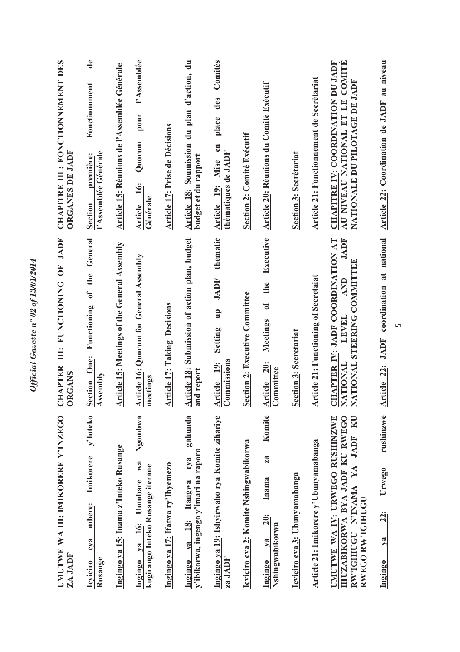| UMUTWE WA III: IMIKORERE Y'INZEGO<br>ZA JADF                                                                                | CHAPTER III: FUNCTIONING OF JADF<br><b>ORGANS</b>                                                                       | CHAPITRE III : FONCTIONNEMENT DES<br>ORGANES DE JADF                                                  |
|-----------------------------------------------------------------------------------------------------------------------------|-------------------------------------------------------------------------------------------------------------------------|-------------------------------------------------------------------------------------------------------|
| y'Inteko<br>Imikorere<br>mbere:<br>cya<br>Rusange<br><b>Icyiciro</b>                                                        | Functioning of the General<br><b>Section One:</b><br>Assembly                                                           | $\mathbf{d}\mathbf{e}$<br>Fonctionnment<br>l'Assemblée Générale<br>première<br><b>Section</b>         |
| Ingingo ya 15: Inama z'Inteko Rusange                                                                                       | Article 15: Meetings of the General Assembly                                                                            | Article 15: Réunions de l'Assemblée Générale                                                          |
| Ngombwa<br>Ingingo ya 16: Umubare wa<br>kugirango Inteko Rusange iterane                                                    | <b>Article 16: Quorum for General Assembly</b><br>meetings                                                              | l'Assemblée<br>pour<br>Quorum<br>Article 16:<br>Générale                                              |
| Ingingo ya 17: Ifatwa ry'Ibyemezo                                                                                           | <b>Article 17: Taking Decisions</b>                                                                                     | Article 17: Prise de Décisions                                                                        |
| gahunda<br>y'ibikorwa, ingengo y'imari na raporo<br>Itangwa rya<br><b>18:</b><br>$1$<br>Ingingo                             | Article 18: Submission of action plan, budget<br>and report                                                             | Article 18: Soumission du plan d'action, du<br>budget et du rapport                                   |
| Ingingo ya 19: Ishyirwaho rya Komite zihariye<br>za JADF                                                                    | thematic<br>JADF<br>$q_{\text{II}}$<br>Setting<br>Commissions<br>Article 19:                                            | Comités<br>des<br>place<br>Article 19: Mise en<br>thématiques de JADF                                 |
| Icyiciro cya 2: Komite Nshingwabikorwa                                                                                      | Section 2: Executive Committee                                                                                          | Section 2: Comité Exécutif                                                                            |
| Komite<br>za<br>Inama<br><b>20:</b><br>Nshingwabikorwa<br>$ya$<br>Ingingo                                                   | Executive<br>the<br>$\mathfrak{h}$<br>Meetings<br><b>20:</b><br>Article 20<br>Committee                                 | <b>Article 20: Réunions du Comité Exécutif</b>                                                        |
| Icyiciro cya 3: Ubunyamabanga                                                                                               | <b>Section 3: Secretariat</b>                                                                                           | <b>Section 3: Secrétariat</b>                                                                         |
| Article 21: Imikorere y'Ubunyamabanga                                                                                       | <b>Article 21: Functioning of Secretaiat</b>                                                                            | Article 21: Fonctionnement de Secrétariat                                                             |
| IHUZABIKORWA BYA JADF KU RWEGO<br><b>UMUTWE WA IV: URWEGO RUSHINZWE</b><br>RW'IGHUGU N'INAMA YA JADF KU<br>RWEGO RW'IGIHUGI | <b>HAPTER IV: JADF COORDINATION AT</b><br><b>JADF</b><br>NATIONAL STEERING COMMITTEE<br>AND<br>LEVEL<br><b>NATIONAL</b> | CHAPITRE IV: COORDINATION DU JADF<br>AU NIVEAU NATIONAL ET LE COMITÉ<br>NATIONALE DU PILOTAGE DE JADF |
| rushinzwe<br>Urwego<br><b>22:</b><br>$\sqrt{a}$<br>Ingingo                                                                  | Article 22: JADF coordination at national                                                                               | Article 22: Coordination de JADF au niveau                                                            |

 $\overline{5}$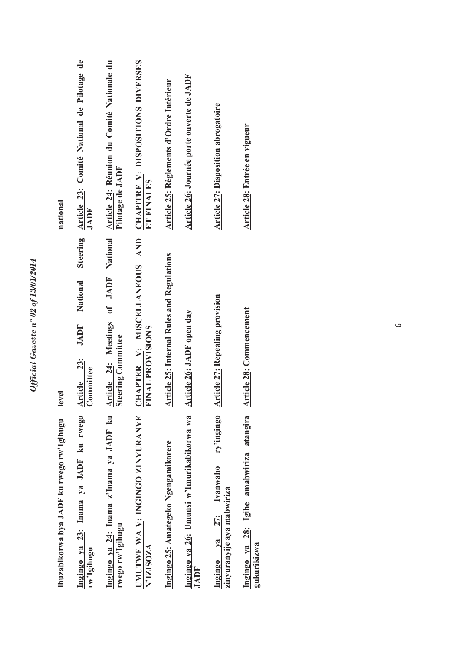| Ingingo ya 23: Inama ya JADF ku rwego<br>Ihuzabikorwa bya JADF ku rwego rw'Igihugu | Steering<br>National<br><b>JADF</b><br>Article 23:<br>evel                                                    | Article 23: Comité National de Pilotage de<br>national |
|------------------------------------------------------------------------------------|---------------------------------------------------------------------------------------------------------------|--------------------------------------------------------|
| rw'Igihugu                                                                         | Committee                                                                                                     | JADF                                                   |
| Ingingo ya 24: Inama z'Inama ya JADF ku<br>rwego rw'lgihugu                        | Article 24: Meetings of JADF National Article 24: Réunion du Comité Nationale du<br><b>Steering Committee</b> | Pilotage de JADF                                       |
| UMUTWE WA V: INGINGO ZINYURANYE<br>N'IZISOZA                                       | CHAPTER V: MISCELLANEOUS AND CHAPITRE V: DISPOSITIONS DIVERSES<br><b>TINAL PROVISIONS</b>                     | ET FINALES                                             |
| Ingingo 25: Amategeko Ngengamikorere                                               | <b>Article 25: Internal Rules and Regulations</b>                                                             | Article 25: Règlements d'Ordre Intérieur               |
| Ingingo ya 26: Umunsi w'Imurikabikorwa wa<br><b>JADF</b>                           | Article 26: JADF open day                                                                                     | Article 26: Journée porte ouverte de JADF              |
| ry'ingingo<br>Ingingo ya 27: Ivanwaho<br>zinyuranyije aya mabwiriza                | <b>Article 27: Repealing provision</b>                                                                        | <b>Article 27: Disposition abrogatoire</b>             |
| Ingingo ya 28: Igihe amabwiriza atangira<br>gukurikizwa                            | <b>Article 28: Commencement</b>                                                                               | Article 28: Entrée en vigueur                          |

Official Gazette nº 02 of 13/01/2014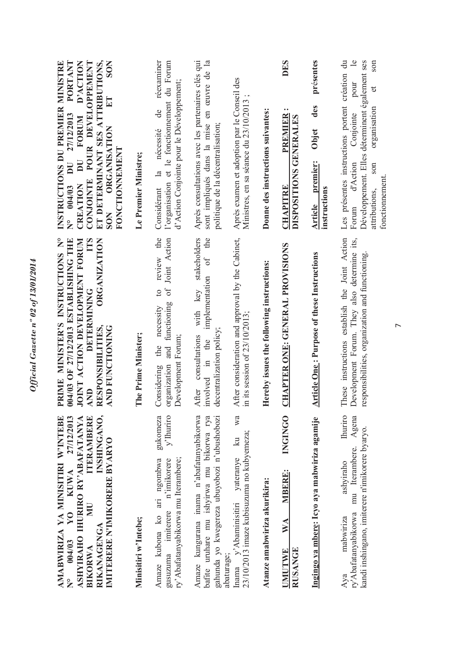| PORTANT<br>ET DETERMINANT SES ATTRIBUTIONS,<br>POUR DEVELOPPEMENT<br><b>SON</b><br>INSTRUCTIONS DU PREMIER MINISTRE<br>D'ACTION<br>$E_{\rm I}$<br>27/12/2013<br>FORUM<br><b>ORGANISATION</b><br><b>FONCTIONNEMENT</b><br>$\overline{\mathbf{D}}$<br>$\overline{\mathbf{D}}$<br><b>CONJOINTE</b><br>CREATION<br>$N^{\circ}$ 004/03<br><b>SON</b> | Le Premier Ministre; | réexaminer<br>l'organisation et le fonctionnement du Forum<br>d'Action Conjointe pour le Développement;<br>de<br>nécessité<br>$\frac{a}{a}$<br>Considérant | Après consultations avec les partenaires clés qui<br>sont impliqués dans la mise en œuvre de la<br>politique de la décentralisation;  | Après examen et adoption par le Conseil des<br>Ministres, en sa séance du 23/10/2013                                | Donne des instructions suivantes:         | <b>DES</b><br>PREMIER<br>DISPOSITIONS GENERALES<br><b>CHAPITRE</b>             | présentes<br>des<br>Objet<br>premier:<br>instructions<br><b>Article</b> | Les présentes instructions portent création du<br>$\triangle$<br>Développement. Elles déterminent également ses<br>son<br>pour<br>đ<br>organisation<br>Conjointe<br>d'Action<br>son<br>fonctionnement<br>attributions,<br>Forum |
|-------------------------------------------------------------------------------------------------------------------------------------------------------------------------------------------------------------------------------------------------------------------------------------------------------------------------------------------------|----------------------|------------------------------------------------------------------------------------------------------------------------------------------------------------|---------------------------------------------------------------------------------------------------------------------------------------|---------------------------------------------------------------------------------------------------------------------|-------------------------------------------|--------------------------------------------------------------------------------|-------------------------------------------------------------------------|---------------------------------------------------------------------------------------------------------------------------------------------------------------------------------------------------------------------------------|
| PRIME MINISTER'S INSTRUCTIONS N°<br>04/03 OF 27/12/2013 ESTABLISHING THE<br><b>IOINT ACTION DEVELOPMENT FORUM</b><br>TTS<br><b>ORGANIZATION</b><br>DETERMINING<br>RESPONSIBILITIES,<br><b>CONDEDITIONING</b><br><b>AND</b>                                                                                                                      | The Prime Minister;  | review the<br>of Joint Action<br>$\overline{c}$<br>and functioning<br>necessity<br>Development Forum;<br>the<br>organization<br>Considering                | stakeholders<br>of the<br>implementation<br>with key<br>decentralization policy;<br>consultations<br>nvolved in the<br>After          | After consideration and approval by the Cabinet,<br>in its session of $23/10/2013$ ;                                | Hereby issues the following instructions: | <b>CHAPTER ONE: GENERAL PROVISIONS</b>                                         | <b>Article One: Purpose of these Instructions</b>                       | These instructions establish the Joint Action<br>Development Forum. They also determine its,<br>responsibilities, organization and functioning.                                                                                 |
| 27/12/2013<br>INSHINGANO,<br><b>ITERAMBERE</b><br>AMABWIRIZA YA MINISITIRI W'INTEBE<br>ASHYIRAHO IHURIRO RY'ABAFATANYA<br>IMITERERE N'IMIKORERE BYARYO<br><b>KUWA</b><br>$\mathbf{H}$<br>$\overline{Y}$ O<br>RIKANAGENGA<br>004/03<br><b>BIKORWA</b><br>$\frac{1}{2}$                                                                           | Minisitiri w'Intebe; | y'Ihuriro<br>gukomeza<br>ry' Abafatanyabikorwa mu Iterambere;<br>Amaze kubona ko ari ngombwa<br>n'imikorere<br>gusuzuma imiterere                          | gahunda yo kwegereza ubuyobozi n'ubushobozi<br>Amaze kungurana inama n'abafatanyabikorwa<br>bafite uruhare mu ishyirwa mu bikorwa rya | wa<br>23/10/2013 imaze kubisuzuma no kubyemeza;<br>$\mathbb{E}$<br>y'Abaminisitiri yateranye<br>abaturage;<br>Inama | Atanze amabwiriza akurikira:              | <b>INGINGO</b><br><b>MBERE:</b><br>$\mathbb{V}\mathbb{A}$<br>RUSANGE<br>JMUTWE | Ingingo ya mbere: Icyo aya mabwiriza agamije                            | <b>Churiro</b><br>Agena<br>kandi inshingano, imiterere n'imikorere byaryo.<br>mu Iterambere.<br>ashviraho<br>ry'Abafatanyabikorwa<br>mabwiriza<br>Ava                                                                           |

 $\overline{r}$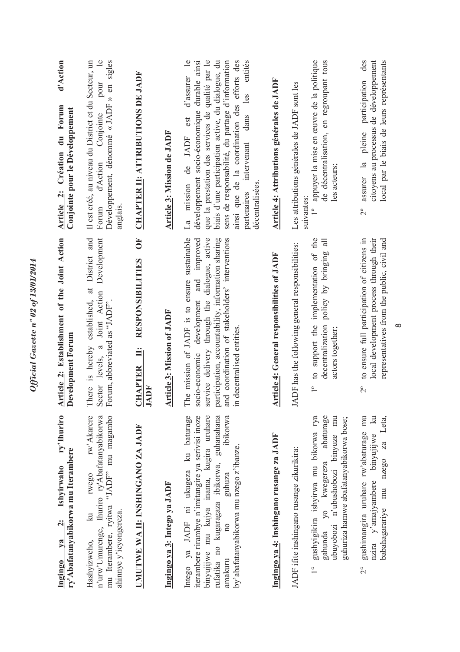| ry'Ihuriro<br>ry'Abafatanyabikorwa mu Iterambere<br>Ishyirwaho<br>$\ddot{\mathbf{q}}$<br>$\sqrt{a}$<br><b>Ingingo</b>                                                                                                                                                                  | rticle 2: Establishment of the Joint Action<br>evelopment Forum<br>◀<br>$\triangleright$                                                                                                                                                                                             | d'Action<br>Article 2: Création du Forum<br>Conjointe pour le Développement                                                                                                                                                                                                                                                                                                                           |
|----------------------------------------------------------------------------------------------------------------------------------------------------------------------------------------------------------------------------------------------------------------------------------------|--------------------------------------------------------------------------------------------------------------------------------------------------------------------------------------------------------------------------------------------------------------------------------------|-------------------------------------------------------------------------------------------------------------------------------------------------------------------------------------------------------------------------------------------------------------------------------------------------------------------------------------------------------------------------------------------------------|
| rw'Akarere<br>n'urw'Umurenge, Ihuriro ry'Abafatanyabikorwa<br>mu Iterambere, ryitwa "JADF" mu magambo<br>rwego<br>ahinnye y'icyongereza.<br>$\vec{z}$<br>Hashyizweho,                                                                                                                  | District and<br>Development<br>$\ddot{a}$<br>Joint Action<br>established.<br>Forum, abbreviated as "JADF".<br>There is hereby<br>Sector levels, a                                                                                                                                    | $\mathbf{e}$<br>sigles<br>Il est créé, au niveau du District et du Secteur, un<br>pour<br>Développement, dénommé «JADF » en<br>Conjointe<br>d'Action<br>anglais<br>Forum                                                                                                                                                                                                                              |
| UMUTWE WA II: INSHINGANO ZA JADF                                                                                                                                                                                                                                                       | <b>FO</b><br><b>RESPONSIBILITIES</b><br>CHAPTER II:<br>JADF                                                                                                                                                                                                                          | <b>CHAPTER II: ATTRIBUTIONS DE JADF</b>                                                                                                                                                                                                                                                                                                                                                               |
| Ingingo ya 3: Intego ya JADF                                                                                                                                                                                                                                                           | Article 3: Mission of JADF                                                                                                                                                                                                                                                           | Article 3: Mission de JADF                                                                                                                                                                                                                                                                                                                                                                            |
| Intego ya JADF ni ukugeza ku baturage<br>ibikorwa<br>iterambere rirambye n'imitangire ya serivisi inoze<br>binyujijwe mu kujya inama, kugira uruhare<br>rufatika no kugaragaza ibikorwa, guhanahana<br>by'abafatanyabikorwa mu nzego z'ibanze.<br>guhuza<br>10 <sub>0</sub><br>amakuru | The mission of JADF is to ensure sustainable<br>service delivery through the dialogue, active<br>participation, accountability, information sharing<br>and coordination of stakeholders' interventions<br>and improved<br>development<br>in decentralised entities<br>socio-economic | entités<br>$\overline{e}$<br>que la prestation des services de qualité par le<br>biais d'une participation active, du dialogue, du<br>sens de responsabilité, du partage d'information<br>ainsi que de la coordination des efforts des<br>développement socio-économique durable ainsi<br>d'assurer<br>les<br>dans<br>est<br>de JADF<br>intervenant<br>décentralisées<br>mission<br>partenaires<br>La |
| Ingingo ya 4: Inshingano rusange za JADF                                                                                                                                                                                                                                               | <b>Article 4: General responsibilities of JADF</b>                                                                                                                                                                                                                                   | Article 4: Attributions générales de JADF                                                                                                                                                                                                                                                                                                                                                             |
| JADF ifite inshingano rusange zikurikira:                                                                                                                                                                                                                                              | JADF has the following general responsibilities:                                                                                                                                                                                                                                     | Les attributions générales de JADF sont les                                                                                                                                                                                                                                                                                                                                                           |
| gushyigikira ishyirwa mu bikorwa rya<br>abaturage<br>mu<br>guhuriza hamwe abafatanyabikorwa bose;<br>ubuyobozi n'ubushobozi binyuze<br>gahunda yo kwegereza<br>$\frac{0}{1}$                                                                                                           | to support the implementation of the<br>$\exists$<br>policy by bringing<br>decentralization<br>actors together;<br>$\overline{1}$                                                                                                                                                    | appuyer la mise en œuvre de la politique<br>de décentralisation, en regroupant tous<br>les acteurs;<br>suivantes:<br>$\overline{\phantom{0}}^{\circ}$                                                                                                                                                                                                                                                 |
| gushimangira uruhare rw'abaturage mu<br>$\mathbb{R}$<br>babahagarariye mu nzego za Leta,<br>nzira y'amajyambere binyujijwe<br>$\overline{C}$                                                                                                                                           | to ensure full participation of citizens in<br>local development process through their<br>representatives from the public, civil and<br>$\overline{C}$                                                                                                                               | participation des<br>citoyens au processus de développement<br>local par le biais de leurs représentants<br>pleine<br>assurer la<br>$2^{\circ}$                                                                                                                                                                                                                                                       |

Official Gazette nº 02 of 13/01/2014

 $\infty$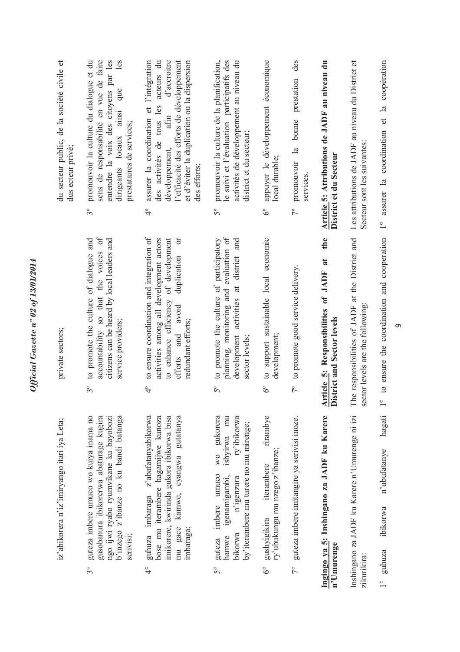| du secteur public, de la société civile et<br>dus ecteur privé; | entendre la voix des citoyens par les<br>promouvoir la culture du dialogue et du<br>sens de responsabilité en vue de faire<br>les<br>que<br>dirigeants locaux ainsi<br>prestataires de services;<br>$3^{\circ}$ | d'accroitre<br>l'efficacité des efforts de développement<br>des activités de tous les acteurs du<br>assurer la coordination et l'intégration<br>et d'éviter la duplication ou la dispersion<br>afin<br>développement,<br>des efforts;<br>$\ddot{ }$ | promouvoir la culture de la planification,<br>le suivi et l'évaluation participatifs des<br>activités de développement au niveau du<br>district et du secteur;<br>$5^{\circ}$ | appuyer le développement économique<br>local durable;<br>$\delta^{\circ}$                    | des<br>promouvoir la bonne prestation<br>services<br>$7^{\circ}$ | Article 5: Attributions de JADF au niveau du<br>District et du Secteur      | Les attributions de JADF au niveau du District et<br>Secteur sont les suivantes:     | coopération<br>1° assurer la coordination et la               |
|-----------------------------------------------------------------|-----------------------------------------------------------------------------------------------------------------------------------------------------------------------------------------------------------------|-----------------------------------------------------------------------------------------------------------------------------------------------------------------------------------------------------------------------------------------------------|-------------------------------------------------------------------------------------------------------------------------------------------------------------------------------|----------------------------------------------------------------------------------------------|------------------------------------------------------------------|-----------------------------------------------------------------------------|--------------------------------------------------------------------------------------|---------------------------------------------------------------|
| private sectors;                                                | accountability so that the voices of<br>to promote the culture of dialogue and<br>citizens can be heard by local leaders and<br>service providers;<br>$3^{\circ}$                                               | to ensure coordination and integration of<br>to enhance efficiency of development<br>activities among all development actors<br>ð<br>duplication<br>efforts and avoid<br>redundant efforts;<br>$\ddot{ }$                                           | planning, monitoring and evaluation of<br>development activities at district and<br>to promote the culture of participatory<br>sector levels;<br>$5^{\circ}$                  | to support sustainable local economic<br>development;<br>$\delta^{\circ}$                    | to promote good service delivery.<br>$7^{\circ}$                 | the<br>Article 5: Responsibilities of JADF at<br>District and Sector levels | The responsibilities of JADF at the District and<br>sector levels are the following: | ° to ensure the coordination and cooperation                  |
| iz'abikorera n'iz'imiryango itari iya Leta;                     | guteza imbere umuco wo kujya inama no<br>gusobanura ibikorerwa abaturage kugira<br>ngo ijwi ryabo ryumvikane ku bayobozi<br>b'inzego z'ibanze no ku bandi batanga<br>serivisi;<br>$3^{\circ}$                   | z'abafatanyabikorwa<br>bose mu iterambere hagamijwe kunoza<br>imikorere, kwirinda gukora ibikorwa bisa<br>gutatanya<br>cyangwa<br>guhuza imbaraga<br>kamwe,<br>gace<br>imbaraga;<br>mu<br>$\frac{1}{4}$                                             | wo gukorera<br>ishyirwa mu<br>ry'ibikorwa<br>by'iterambere mu turere no mu mirenge;<br>imbere umuco<br>igenamigambi,<br>n'igenzura<br>bikorwa<br>hamwe<br>guteza<br>50        | rirambye<br>ry'ubukungu mu nzego z'ibanze;<br>iterambere<br>gushyigikira<br>$\delta^{\circ}$ | guteza imbere imitangire ya serivisi inoze.<br>$7^{\circ}$       | Ingingo ya 5: Inshingano za JADF ku Karere<br>n'Umurenge                    | Inshingano za JADF ku Karere n'Umurenge ni izi<br>zikurikira:                        | hagati<br>n'ubufatanye<br>ibikorwa<br>guhuza<br>$\frac{1}{x}$ |

 $\sigma$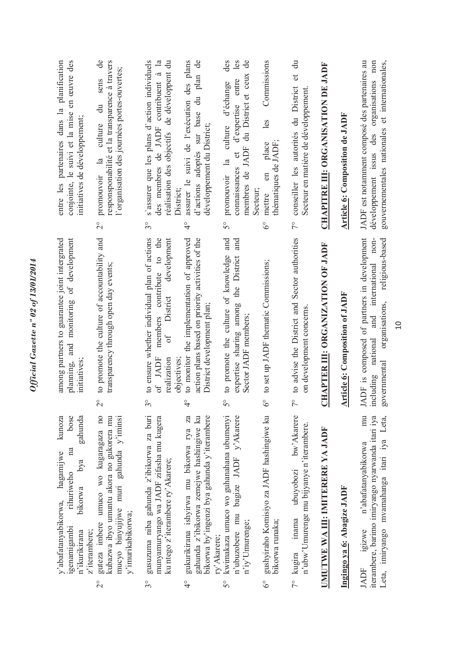|                          | bose<br>gahunda<br>kunoza<br>na<br>hagamijwe<br>bya<br>rihuriweho<br>bikorwa<br>y'abafatanyabikorwa,<br>igenamigambi<br>z'iterambere;<br>n'ikurikirana | and monitoring of development<br>among partners to guarantee joint intergrated<br>initiatives:<br>planning,                                                                  | en œuvre des<br>planification<br>entre les partenaires dans la<br>conjointe, le suivi et la mise<br>initiatives de développement;                                                 |
|--------------------------|--------------------------------------------------------------------------------------------------------------------------------------------------------|------------------------------------------------------------------------------------------------------------------------------------------------------------------------------|-----------------------------------------------------------------------------------------------------------------------------------------------------------------------------------|
| $\overline{\mathcal{C}}$ | guteza imbere umuco wo kugaragaza no<br>kubazwa ibyo umuntu akora no gukorera mu<br>mucyo binyujijwe muri gahunda y'iminsi<br>y'imurikabikorwa;        | to promote the culture of accountability and<br>transparency through open day events;<br>$\overline{C}$                                                                      | de<br>responsponabilité et la transparence à travers<br>l'organisation des journées portes-ouvertes;<br>sens<br>$\ddot{a}$<br>culture<br>promouvoir la<br>$\overset{\circ}{\sim}$ |
| $3^{\circ}$              | gusuzuma niba gahunda z'ibikorwa za buri<br>munyamuryango wa JADF zifasha mu kugera<br>ku ntego z'iterambere ry' Akarere;                              | to ensure whether individual plan of actions<br>members contribute to the<br>development<br>District<br>of<br>of JADF<br>realization<br>objectives:<br>$\mathcal{S}^{\circ}$ | s'assurer que les plans d'action individuels<br>réalisation des objectifs de développent du<br>des membres de JADF contribuent à la<br>District;<br>$3^{\circ}$                   |
| $\frac{1}{4}$            | za<br>gahunda z'ibikorwa zemejwe hashingiwe ku<br>bikorwa by'ingenzi bya gahunda y'iterambere<br>gukurikirana ishyirwa mu bikorwa rya<br>ry' Akarere;  | action plans based on priority activities of the<br>to monitor the implementation of approved<br>District development plan;<br>$\frac{1}{4}$                                 | assurer le suivi de l'exécution des plans<br>d'actions adoptés sur base du plan de<br>développement du District;<br>$\frac{1}{4}$                                                 |
| $5^{\circ}$              | kwimakaza umuco wo guhanahana ubumenyi<br>n'ubuzobere mu bagize JADF y'Akarere<br>n'iy'Umurenge;                                                       | and<br>and<br>to promote the culture of knowledge<br>expertise sharing among the District<br>Sector JADF members;<br>$5^{\circ}$                                             | les<br>membres de JADF du District et ceux de<br>des<br>d'expertise entre<br>culture d'échange<br>đ<br>$\mathbb{E}$<br>connaissances<br>promouvoir<br>Secteur;<br>$5^{\circ}$     |
| $\delta^{\circ}$         | gushyiraho Komisiyo za JADF hashingiwe ku<br>bikorwa runaka;                                                                                           | to set up JADF thematic Commissions;<br>$\delta^{\circ}$                                                                                                                     | Commissions<br>les<br>thèmatiques de JADF;<br>place<br>$\epsilon$<br>mettre<br>$\delta^{\circ}$                                                                                   |
|                          | bw'Akarere<br>n'ubw'Umurenge mu bijyanye n'iterambere.<br>ubuyobozi<br>inama<br>7° kugira                                                              | to advise the District and Sector authorities<br>on development concerns<br>$\tilde{7}^{\circ}$                                                                              | $\ddot{a}$<br>$\sigma$<br>conseiller les autorités du District<br>Secteur en matière de développement<br>$\frac{1}{2}$                                                            |
|                          | UMUTWE WA III: IMITERERE YA JADF                                                                                                                       | CHAPTER III: ORGANIZATION OF JADF                                                                                                                                            | <b>CHAPITRE III: ORGANISATION DE JADF</b>                                                                                                                                         |
|                          | Ingingo ya 6: Abagize JADF                                                                                                                             | <b>Article 6: Composition of JADF</b>                                                                                                                                        | <b>Article 6: Composition de JADF</b>                                                                                                                                             |
|                          | mu<br>iterambere, barimo imiryango nyarwanda itari iya<br>Leta, imiryango mvamahanga itari iya Leta,<br>n'abafatanyabikorwa<br>igizwe<br><b>JADF</b>   | JADF is composed of partners in development<br>and international non-<br>governmental organisations, religious-based<br>including national                                   | JADF est notamment composé des partenaires au<br>développement issus des organisations non<br>gouvernementales nationales et internationales,                                     |

*Official Gazette nº 02 of 13/01/2014*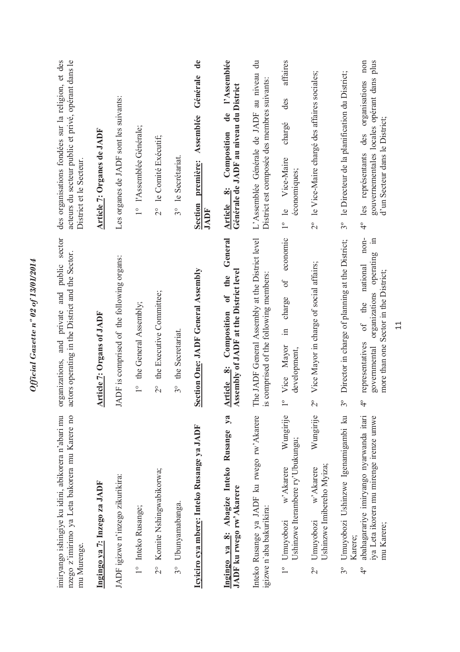| acteurs du secteur public et privé, opérant dans le<br>des organisations fondées sur la religion, et des<br>District et le Secteur.<br>and private and public sector<br>actors operating in the District and the Sector.<br>organizations, | Article 7: Organes de JADF<br><b>Article 7: Organs of JADF</b> | Les organes de JADF sont les suivants:<br>ADF is comprised of the following organs: | 1° l'Assemblée Générale;<br>the General Assembly;<br>$\frac{1}{1}$ | 2° le Comité Exécutif;<br>the Executive Committee;<br>$\overline{C}$ | 3° le Secrétariat.<br>the Secretariat.<br>$3^{\circ}$ | $\mathbf{d}\mathbf{e}$<br>Générale<br>première: Assemblée<br><b>Section</b><br>JADF<br>Section One: JADF General Assembly | de l'Assemblée<br>Générale de JADF au niveau du District<br>Composition<br>Article 8:<br>Article 8: Composition of the General<br>Assembly of JADF at the District level<br>$y$ a | L'Assemblée Générale de JADF au niveau du<br>District est composée des membres suivants:<br>The JADF General Assembly at the District level<br>is comprised of the following members: | affaires<br>des<br>chargé<br>1° le Vice-Maire<br>économiques;<br>economic<br>0f<br>charge<br>$\Xi.$<br>Vice Mayor<br>development,<br>$\circ$ | 2° le Vice-Maire chargé des affaires sociales;<br>Vice Mayor in charge of social affairs;<br>$\overline{c}$ | 3° le Directeur de la planification du District;<br>Director in charge of planning at the District;<br>$3^{\circ}$ | plus<br>non<br>gouvernementales locales opérant dans<br>organisations<br>d'un Secteur dans le District;<br>les représentants des<br>$\frac{1}{4}$<br>non-<br>$\equiv$<br>operating<br>national<br>more than one Sector in the District;<br>organizations<br>of the<br>representatives<br>governmental<br>$\frac{1}{4}$ |
|--------------------------------------------------------------------------------------------------------------------------------------------------------------------------------------------------------------------------------------------|----------------------------------------------------------------|-------------------------------------------------------------------------------------|--------------------------------------------------------------------|----------------------------------------------------------------------|-------------------------------------------------------|---------------------------------------------------------------------------------------------------------------------------|-----------------------------------------------------------------------------------------------------------------------------------------------------------------------------------|---------------------------------------------------------------------------------------------------------------------------------------------------------------------------------------|----------------------------------------------------------------------------------------------------------------------------------------------|-------------------------------------------------------------------------------------------------------------|--------------------------------------------------------------------------------------------------------------------|------------------------------------------------------------------------------------------------------------------------------------------------------------------------------------------------------------------------------------------------------------------------------------------------------------------------|
| nzego z'imirimo ya Leta bakorera mu Karere no<br>imiryango ishingiye ku idini, abikorera n'abari mu<br>mu Murenge.                                                                                                                         | Ingingo ya 7: Inzego za JADF                                   | JADF igizwe n'inzego zikurikira:                                                    | 1° Inteko Rusange;                                                 | Komite Nshingwabikorwa;<br>$\frac{1}{2}$                             | Ubunyamabanga.<br>$3^{\circ}$                         | Icyiciro cya mbere: Inteko Rusange ya JADF                                                                                | Ingingo ya 8: Abagize Inteko Rusange<br>JADF ku rwego rw'Akarere                                                                                                                  | Inteko Rusange ya JADF ku rwego rw'Akarere<br>igizwe n'aba bakurikira:                                                                                                                | Wungirije<br>Ushinzwe Iterambere ry'Ubukungu;<br>w'Akarere<br>Umuyobozi<br>$\overline{\phantom{a}}$                                          | Wungirije<br>Ushinzwe Imibereho Myiza;<br>w'Akarere<br>Umuyobozi<br>$\frac{1}{2}$                           | Umuyobozi Ushinzwe Igenamigambi ku<br>Karere;<br>$3^{\circ}$                                                       | abahagarariye imiryango nyarwanda itari<br>iya Leta ikorera mu mirenge irenze umwe<br>mu Karere;<br>$\ddot{ }$                                                                                                                                                                                                         |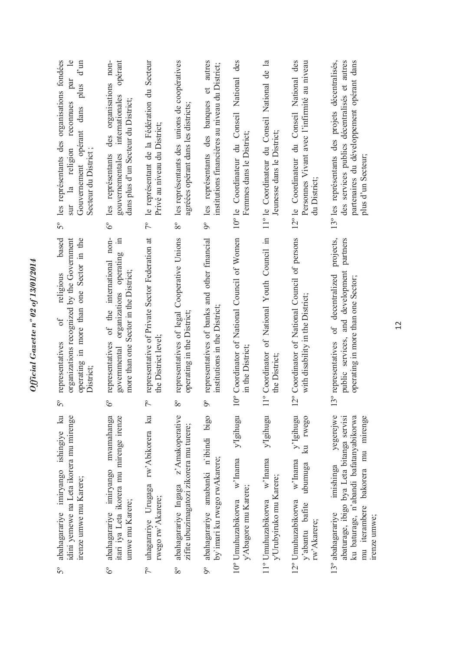| les représentants des organisations fondées<br>$\overline{e}$<br>$d'$ un<br>par<br>plus<br>reconnues<br>Gouvernement opérant dans<br>Secteur du District;<br>religion<br>$\frac{a}{a}$<br>sur<br>$5^{\circ}$ | opérant<br>non-<br>organisations<br>internationales<br>dans plus d'un Secteur du District;<br>des<br>gouvernementales<br>les représentants<br>್ರೆ  | le représentant de la Fédération du Secteur<br>Privé au niveau du District;<br>$7^{\circ}$ | les représentants des unions de coopératives<br>agréées opérant dans les districts;<br>$8^{\circ}$  | les représentants des banques et autres<br>institutions financières au niveau du District;<br>$\delta^{\circ}$ | 10° le Coordinateur du Conseil National des<br>Femmes dans le District;                         | 11º le Coordinateur du Conseil National de la<br>Jeunesse dans le District; | 12° le Coordinateur du Conseil National des<br>Personnes Vivant avec l'infirmité au niveau<br>du District; | 13° les représentants des projets décentralisés,<br>des services publics décentralisés et autres<br>partenaires du développement opérant dans<br>plus d'un Secteur;                     |
|--------------------------------------------------------------------------------------------------------------------------------------------------------------------------------------------------------------|----------------------------------------------------------------------------------------------------------------------------------------------------|--------------------------------------------------------------------------------------------|-----------------------------------------------------------------------------------------------------|----------------------------------------------------------------------------------------------------------------|-------------------------------------------------------------------------------------------------|-----------------------------------------------------------------------------|------------------------------------------------------------------------------------------------------------|-----------------------------------------------------------------------------------------------------------------------------------------------------------------------------------------|
| based<br>organizations recognized by the Government<br>operating in more than one Sector in the<br>religious<br>$\sigma$<br>representatives<br>District;<br>$5^{\circ}$                                      | of the international non-<br>$\equiv$<br>organizations operating<br>more than one Sector in the District;<br>representatives<br>governmental<br>S° | representative of Private Sector Federation at<br>the District level;<br>P.                | representatives of legal Cooperative Unions<br>operating in the District;<br>$8^{\circ}$            | representatives of banks and other financial<br>institutions in the District;<br>9°                            | 0° Coordinator of National Council of Women<br>in the District;                                 | 1° Coordinator of National Youth Council in<br>the District;                | 2º Coordinator of National Council of persons<br>with disability in the District;                          | projects,<br>partners<br>public services, and development<br>of decentralized<br>operating in more than one Sector;<br>3° representatives                                               |
| $\mathbb{E}$<br>idini yemewe na Leta ikorera mu mirenge<br>abahagarariye imiryango ishingiye<br>irenze umwe mu Karere;<br>$5^{\circ}$                                                                        | mvamahanga<br>itari iya Leta ikorera mu mirenge irenze<br>abahagarariye imiryango<br>umwe mu Karere;<br>$6^\circ$                                  | $\mathbb{E}$<br>rw'Abikorera<br>uhagarariye Urugaga<br>rwego rw' Akarere;<br>$7^{\circ}$   | z' Amakoperative<br>zifite ubuzimagatozi zikorera mu turere;<br>abahagarariye Ingaga<br>$8^{\circ}$ | abahagarariye amabanki n'ibindi bigo<br>by'imari ku rwego rwAkarere;<br>$\delta$                               | y'Igihugu<br>$\ensuremath{\text{w}}\xspace$ Inama<br>y'Abagore mu Karere;<br>10° Umuhuzabikorwa | y'Igihugu<br>w'Inama<br>y'Urubyiruko mu Karere;<br>11° Umuhuzabikorwa       | y'Igihugu<br>ku rwego<br>w'Inama<br>ubumuga<br>12° Umuhuzabikorwa<br>y'abantu bafite<br>rw'Akarere;        | yegerejwe<br>abaturage, ibigo bya Leta bitanga servisi<br>ku baturage, n'abandi bafatanyabikorwa<br>mu iterambere bakorera mu mirenge<br>imishinga<br>13° abahagarariye<br>irenze umwe; |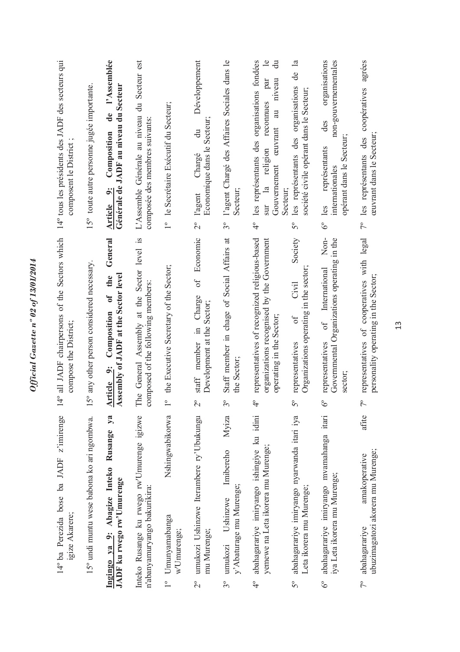|                  | 14° ba Perezida bose ba JADF z'imirenge<br>igize Akarere;                              | 14° all JADF chairpersons of the Sectors which<br>compose the District;                                                       | 14° tous les présidents des JADF des secteurs qui<br>composent le District                                                                                                                                   |
|------------------|----------------------------------------------------------------------------------------|-------------------------------------------------------------------------------------------------------------------------------|--------------------------------------------------------------------------------------------------------------------------------------------------------------------------------------------------------------|
|                  | 15° undi muntu wese babona ko ari ngombwa.                                             | 15° any other person considered necessary.                                                                                    | 15° toute autre personne jugée importante.                                                                                                                                                                   |
|                  | $\mathbf{y}$ a<br>Rusange<br>Ingingo ya 9: Abagize Inteko<br>JADF ku rwego rw'Umurenge | General<br>Assembly of JADF at the Sector level<br>the<br>$\overline{\mathfrak{o}}$<br>Composition<br>Article 9:              | l'Assemblée<br>Générale de JADF au niveau du Secteur<br>de<br>Composition<br>$\ddot{\circ}$<br><b>Article</b>                                                                                                |
|                  | Inteko Rusange ku rwego rw'Umurenge igizwe<br>n'abanyamuryango bakurikira:             | The General Assembly at the Sector level is<br>composed of the following members                                              | du Secteur est<br>L'Assemble Générale au niveau<br>composée des membres suivants                                                                                                                             |
|                  | Nshingwabikorwa<br>1° Umunyamabanga<br>w'Umurenge;                                     | the Executive Secretary of the Sector;<br>$\overline{1}^{\circ}$                                                              | 1º le Secrétaire Exécutif du Secteur;                                                                                                                                                                        |
| $\frac{6}{2}$    | umukozi Ushinzwe Iterambere ry'Ubukungu<br>mu Murenge;                                 | Economic<br>$\sigma f$<br>Charge<br>Development at the Sector;<br>member in<br>$\operatorname{statf}$<br>$\beta$              | Développement<br>Economique dans le Secteur<br>đu<br>Chargé<br>l'agent<br>$\overline{C}$                                                                                                                     |
| $3^{\circ}$      | Myiza<br>Imibereho<br>y' Abaturage mu Murenge;<br>Ushinzwe<br>umukozi                  | Staff member in chage of Social Affairs at<br>the Sector<br>$3^{\circ}$                                                       | l'agent Chargé des Affaires Sociales dans le<br>Secteur<br>$3^{\circ}$                                                                                                                                       |
| $\frac{1}{4}$    | abahagarariye imiryango ishingiye ku idini<br>yemewe na Leta ikorera mu Murenge;       | representatives of recognized religious-based<br>organizations recognised by the Government<br>operating in the Sector;<br>दै | les représentants des organisations fondées<br>$\overline{e}$<br>$\ddot{a}$<br>niveau<br>par<br>reconnues<br>au<br>ceuvrant<br>religion<br>Gouvernement<br>$\frac{a}{a}$<br>Secteur;<br>sur<br>$\frac{1}{4}$ |
| $5^{\circ}$      | abahagarariye imiryango nyarwanda itari iya<br>Leta ikorera mu Murenge;                | Society<br>Organizations operating in the sector;<br>Civil<br>ð<br>representatives<br>$5^{\circ}$                             | $\mathbb{Z}$<br>de<br>les représentants des organisations<br>société civile opérant dans le Secteur;<br>$5^{\circ}$                                                                                          |
| $\delta^{\circ}$ | abahagarariye imiryango mvamahanga itari<br>iya Leta ikorera mu Murenge;               | Non-<br>Governmental Organizations operating in the<br>International<br>of<br>representatives<br>sector;<br>$\delta^{\circ}$  | non-gouvernementales<br>organisations<br>des<br>opérant dans le Secteur;<br>représentants<br>internationales<br>les<br>$\delta^{\circ}$                                                                      |
| $7^{\circ}$      | afite<br>ubuzimagatozi akorera mu Murenge;<br>amakoperative<br>abahagarariye           | representatives of cooperatives with legal<br>personality operating in the Sector;<br>$7^{\circ}$                             | agrées<br>coopératives<br>ceuvrant dans le Secteur<br>des<br>les représentants<br>$\sqrt{2}$                                                                                                                 |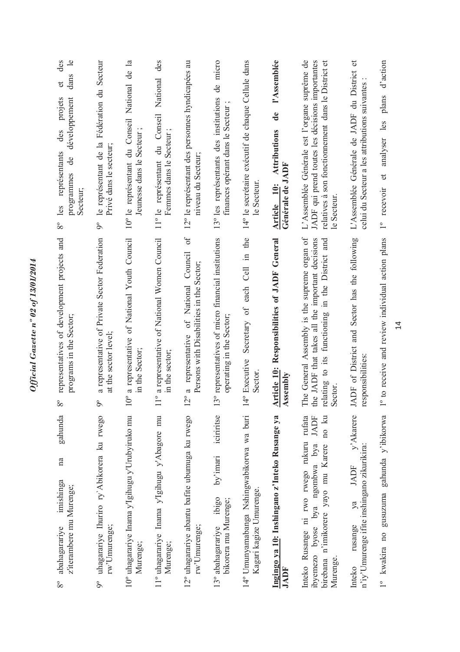| des<br>dans le<br>$\sigma$<br>développement<br>projets<br>des<br>représentants<br>de<br>programmes<br>Secteur;<br>les<br>$8^{\circ}$ | le représentant de la Fédération du Secteur<br>Privé dans le secteur<br>$\delta$ | $\mathbf{a}$<br>du Conseil National de<br>Jeunesse dans le Secteur;<br>10° le représentant | des<br>National<br>du Conseil<br>Secteur<br>Femmes dans le<br>11º le représentant | 12° le représentant des personnes hyndicapées au<br>niveau du Secteur                                                          | de micro<br>13° les représentants des institutions<br>finances opérant dans le Secteur | 14° le secrétaire exécutif de chaque Cellule dans<br>le Secteur      | l'Assemblée<br>$\mathbf{d}\mathbf{e}$<br>Attributions<br>Générale de JADF<br><b>Article</b> 10: | L'Assemblée Générale est l'organe suprême de<br>JADF qui prend toutes les décisions importantes<br>$\sigma$<br>relatives à son fonctionnement dans le District<br>le Secteur | $\sigma$<br>L'Assemblée Générale de JADF du District<br>celui du Secteur a les attributions suivantes | d'action<br>plans<br>analyser les<br>$\mathfrak{t}$<br>recevoir<br>$\overline{\phantom{0}}$ |
|--------------------------------------------------------------------------------------------------------------------------------------|----------------------------------------------------------------------------------|--------------------------------------------------------------------------------------------|-----------------------------------------------------------------------------------|--------------------------------------------------------------------------------------------------------------------------------|----------------------------------------------------------------------------------------|----------------------------------------------------------------------|-------------------------------------------------------------------------------------------------|------------------------------------------------------------------------------------------------------------------------------------------------------------------------------|-------------------------------------------------------------------------------------------------------|---------------------------------------------------------------------------------------------|
| representatives of development projects and<br>programs in the Sector;<br>$8^{\circ}$                                                | a representative of Private Sector Federation<br>at the sector level;            | a representative of National Youth Council<br>in the Sector;<br>ರಿ                         | a representative of National Women Council<br>in the sector;<br>$\frac{1}{1}$     | of<br>Council<br>Persons with Disabilities in the Sector;<br>of National<br>representative<br>$\mathfrak{a}$<br>$\overline{C}$ | 3° representatives of micro financial institutions<br>operating in the Sector;         | Secretary of each Cell in the<br>4º Executive<br>Sector              | Article 10: Responsibilities of JADF General<br>Assembly                                        | The General Assembly is the supreme organ of<br>the JADF that takes all the important decisions<br>relating to its functioning in the District and<br>Sector.                | ADF of District and Sector has the following<br>esponsibilities:                                      | <sup>o</sup> to receive and review individual action plans                                  |
| gahunda<br>na<br>imishinga<br>z'iterambere mu Murenge;<br>abahagarariye<br>$8^{\circ}$                                               | uhagarariye Ihuriro ry' Abikorera ku rwego<br>rw'Umurenge;<br>$9^{\circ}$        | 10° uhagarariye Inama y'Igihugu y'Urubyiruko mu<br>Murenge;                                | 11° uhagarariye Inama y'Igihugu y'Abagore mu<br>Murenge;                          | 12° uhagarariye abantu bafite ubumuga ku rwego<br>rw'Umurenge;                                                                 | iciriritse<br>by'imari<br>ibigo<br>bikorera mu Murenge;<br>13° abahagarariye           | 14° Umunyamabanga Nshingwabikorwa wa buri<br>Kagari kagize Umurenge. | Ingingo ya 10: Inshingano z'Inteko Rusange ya<br>JADF                                           | no ku<br>Inteko Rusange ni rwo rwego rukuru rufata<br>JADF<br>ibyemezo byose bya ngombwa bya<br>n'imikorere yayo mu Karere<br>birebana<br>Murenge.                           | y'Akarere<br>n'iy'Umurenge ifite inshingano zikurikira:<br>JADF<br>ya<br>rusange<br>Inteko            | gahunda y'ibikorwa<br>gusuzuma<br>1° kwakira no                                             |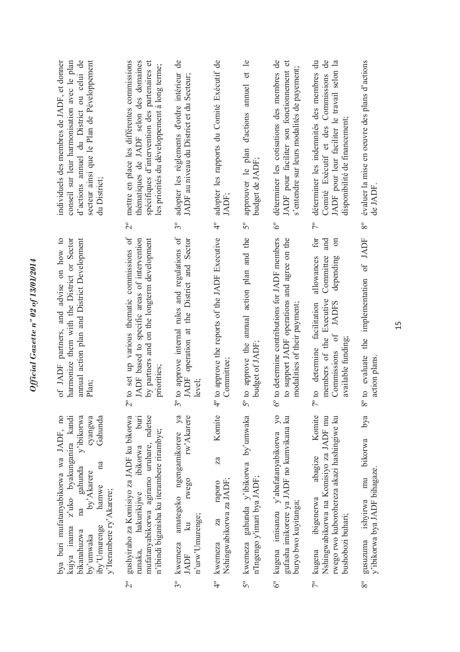| secteur ainsi que le Plan de Péveloppement<br>d'actions annuel du District ou celui de<br>conseil sur leur harmonisation avec le plan<br>individuels des membres de JADF, et donner<br>du District;                                         | mettre en place les différentes commissions<br>thématiques de JADF selon des domaines<br>spécifiques d'intervention des partenaires et<br>les priorités du développement à long terme;<br>$\overline{c}$ | adopter les règlements d'ordre intérieur de<br>JADF au niveau du District et du Secteur;<br>$3^{\circ}$                            | adopter les rapports du Comité Exécutif de<br>JADF;<br>$\frac{1}{4}$                 | d'actions annuel et le<br>approuver le plan<br>budget de JADF;<br>$5^{\circ}$ | déterminer les cotisations des membres de<br>JADF pour faciliter son fonctionnement et<br>s'entendre sur leurs modalités de payement;<br>$\delta^{\circ}$ | déterminer les indemnités des membres du<br>Comité Exécutif et des Commissions de<br>JADF pour leur faciliter le travail selon la<br>disponibilité de financement;<br>$\mathcal{L}^{\circ}$ | évaluer la mise en oeuvre des plans d'actions<br>de JADF<br>$8^{\circ}$             |
|---------------------------------------------------------------------------------------------------------------------------------------------------------------------------------------------------------------------------------------------|----------------------------------------------------------------------------------------------------------------------------------------------------------------------------------------------------------|------------------------------------------------------------------------------------------------------------------------------------|--------------------------------------------------------------------------------------|-------------------------------------------------------------------------------|-----------------------------------------------------------------------------------------------------------------------------------------------------------|---------------------------------------------------------------------------------------------------------------------------------------------------------------------------------------------|-------------------------------------------------------------------------------------|
|                                                                                                                                                                                                                                             |                                                                                                                                                                                                          |                                                                                                                                    |                                                                                      |                                                                               |                                                                                                                                                           | for<br>$\sin$<br>and                                                                                                                                                                        |                                                                                     |
| annual action plan and District Development<br>of JADF partners, and advise on how to<br>harmonize them with the District or Sector<br>Plan;                                                                                                | to set up various thematic commissions of<br>by partners and on the longterm development<br>JADF based to specific areas of intervention<br>priorities;                                                  | to approve internal rules and regulations of<br>JADF operation at the District and Sector<br>level;                                | <sup>p</sup> to approve the reports of the JADF Executive<br>Committee:              | 5° to approve the annual action plan and the<br>budget of JADF                | to determine contributions for JADF members<br>to support JADF operations and agree on the<br>modalities of their payment;                                | Committee<br>allowances<br>depending<br>members of the Executive<br><b>JADFS</b><br>determine facilitation<br>Commissions of<br>available funding;<br>$\circ$                               | the implementation of JADF<br>8° to evaluate<br>action plans                        |
| z'uko byakunganira kandi<br>bya buri mufatanyabikorwa wa JADF, no<br>y'ibikorwa<br>cyangwa<br>Gahunda<br>na<br>gahunda<br>by' Akarere<br>hamwe<br>y'Iterambere ry'Akarere;<br>na<br>kujya inama<br>iby'Umurenge<br>bikanahuzwa<br>by'umwaka | gushyiraho za Komisiyo za JADF ku bikorwa<br>burt<br>mufatanyabikorwa agiramo uruhare, ndetse<br>n'ibindi biganisha ku iterambere rirambye;<br>ibikorwa<br>hakurikijwe<br>runaka,<br>$\overline{C}$      | amategeko ngengamikorere ya<br>rw'Akarere<br>rwego<br>n'urw'Umurenge;<br>$\overline{\mathbf{z}}$<br>kwemeza<br>JADF<br>$3^{\circ}$ | Komite<br>za<br>Nshingwabikorwa za JADF;<br>raporo<br>za<br>kwemeza<br>$\frac{1}{4}$ | kwemeza gahunda y'ibikorwa by'umwaka<br>n'Ingengo y'imari bya JADF;<br>5°     | kugena imisanzu y'abafatanyabikorwa yo<br>gufasha imikorere ya JADF no kumvikana ku<br>buryo bwo kuyitanga;<br>$6^\circ$                                  | Komite<br>Nshingwabikorwa na Komisiyo za JADF mu<br>rwego rwo kuborohereza akazi hashingiwe ku<br>abagize<br>ibigenerwa<br>bushobozi buhari;<br>kugena<br>$7^{\circ}$                       | bya<br>bikorwa<br>y'ibikorwa bya JADF bihagaze.<br>mu<br>ishyirwa<br>gusuzuma<br>80 |

Official Gazette nº 02 of 13/01/2014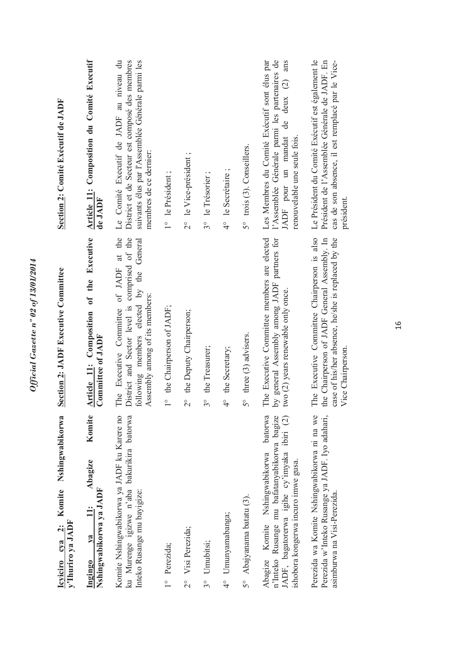| Icviciro cya 2: Komite Nshingwabikorwa<br>y'Ihuriro ya JADF                                                                                                                   | <b>Section 2: JADF Executive Committee</b>                                                                                                                               | Section 2: Comité Exécutif de JADF                                                                                                                                           |
|-------------------------------------------------------------------------------------------------------------------------------------------------------------------------------|--------------------------------------------------------------------------------------------------------------------------------------------------------------------------|------------------------------------------------------------------------------------------------------------------------------------------------------------------------------|
| Komite<br>Abagize<br>Nshingwabikorwa ya JADF<br>$\ddot{=}$<br>va<br>Ingingo                                                                                                   | Article 11: Composition of the Executive<br>Committee of JADF                                                                                                            | <b>Article 11: Composition du Comité Executif</b><br>de JADF                                                                                                                 |
| Komite Nshingwabikorwa ya JADF ku Karere no<br>ku Murenge igizwe n'aba bakurikira batorwa<br>Inteko Rusange mu bayigize:                                                      | The Executive Committee of JADF at the<br>District and Sector level is comprised of the<br>General<br>following members elected by the<br>Assembly among of its members: | Le Comité Executif de JADF au niveau du<br>District et de Secteur est composé des membres<br>suivants élus par l'Assemblée Générale parmi les<br>membres de ce dernier:      |
| 1° Perezida;                                                                                                                                                                  | 1° the Chairperson of JADF;                                                                                                                                              | 1° le Président;                                                                                                                                                             |
| Visi Perezida;<br>$\frac{1}{2}$                                                                                                                                               | the Deputy Chairperson;<br>$\frac{1}{2}$                                                                                                                                 | 2° le Vice-président;                                                                                                                                                        |
| Umubitsi;<br>$3^{\circ}$                                                                                                                                                      | the Treasurer;<br>$3^{\circ}$                                                                                                                                            | 3° le Trésorier;                                                                                                                                                             |
| Umunyamabanga;<br>$\frac{1}{4}$                                                                                                                                               | <sup>1°</sup> the Secretary;                                                                                                                                             | 4° le Secrétaire;                                                                                                                                                            |
| Abajyanama batatu (3).<br>$5^{\circ}$                                                                                                                                         | $5^{\circ}$ three (3) advisers.                                                                                                                                          | 5° trois (3). Conseillers.                                                                                                                                                   |
| batorwa<br>n'Inteko Rusange mu bafatanyabikorwa bagize<br>JADF, bagatorerwa igihe cy'imyaka ibiri (2)<br>Abagize Komite Nshingwabikorwa<br>shobora kongerwa incuro imwe gusa. | The Executive Committee members are elected<br>by general Assembly among JADF partners for<br>wo (2) years renewable only once.                                          | l'Assemblée Générale parmi les partenaires de<br>Les Membres du Comité Exécutif sont élus par<br>ans<br>de deux $(2)$<br>JADF pour un mandat<br>renouvelable une seule fois. |
| Perezida wa Komite Nshingwabikorwa ni na we<br>Perezida w'Inteko Rusange ya JADF. Iyo adahari,<br>asimburwa na Visi-Perezida.                                                 | The Executive Committee Chairperson is also<br>he Chairperson of JADF General Assembly. In<br>case of his/her absence, he/she is replaced by the<br>Vice Chairperson.    | Le Président du Comité Exécutif est également le<br>Président de l'Assemblée Générale de JADF. En<br>cas de son absence, il est remplacé par le Vice-<br>président.          |
|                                                                                                                                                                               |                                                                                                                                                                          |                                                                                                                                                                              |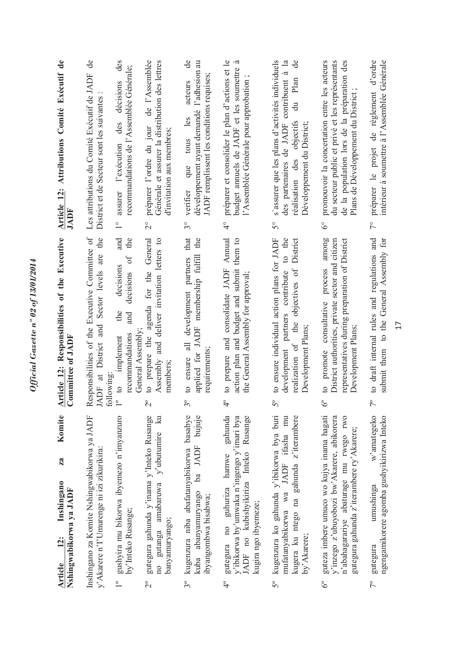|                          | Komite<br>za<br>Inshingano<br>Nshingwabikorwa ya JADF<br>12:<br><b>Article</b>                                                                                                 |             | Article 12: Responsibilities of the Executive<br>Committee of JADF                                                                                                                  |                         | Article 12: Attributions Comité Exécutif de<br>JADF                                                                                                                                             |
|--------------------------|--------------------------------------------------------------------------------------------------------------------------------------------------------------------------------|-------------|-------------------------------------------------------------------------------------------------------------------------------------------------------------------------------------|-------------------------|-------------------------------------------------------------------------------------------------------------------------------------------------------------------------------------------------|
|                          | Inshingano za Komite Nshingwabikorwa ya JADF<br>y' Akarere n'I' Umurenge ni izi zikurikira:                                                                                    |             | Responsibilities of the Executive Committee of<br>JADF at District and Sector levels are the<br>following                                                                           |                         | $\mathbf{d}\mathbf{e}$<br>Les attributions du Comité Exécutif de JADF<br>District et de Secteur sont les suivantes                                                                              |
| $\overline{\phantom{0}}$ | gushyira mu bikorwa ibyemezo n'imyanzuro<br>by'Inteko Rusange;                                                                                                                 |             | and<br>the<br>$\delta$<br>decisions<br>decisions<br>the<br>and<br>General Assembly<br>recommandations<br>implement<br>$\mathfrak{g}$                                                | $\frac{1}{1}$           | des<br>recommandations de l'Assemblée Générale;<br>décisions<br>des<br>l'exécution<br>assurer                                                                                                   |
| $\overline{C}$           | gutegura gahunda y'inama y'Inteko Rusange<br>$\mathbb{R}$<br>amabaruwa y'ubutumire<br>banyamuryango;<br>gutanga<br>$\overline{10}$                                             |             | General<br>Assembly and deliver invitation letters to<br>agenda for the<br>prepare the<br>members;<br>$\overline{c}$                                                                | $\overset{\circ}{\sim}$ | de l'Assemblée<br>Générale et assurer la distribution des lettres<br>préparer l'ordre du jour<br>d'invitation aux membres;                                                                      |
| $3^{\circ}$              | ba JADF bujuje<br>kugenzura niba abafatanyabikorwa basabye<br>kuba abanyamuryango<br>ibyangombwa bisabwa;                                                                      |             | that<br>the<br>applied for JADF membership fulfill<br>to ensure all development partners<br>requirements;                                                                           | $\int_{0}^{\infty}$     | de<br>développement ayant demandé l'adhesion au<br>JADF remplissent les conditions requises;<br>acteurs<br>les<br>tous<br>que<br>verifier                                                       |
| $\overset{\circ}{4}$     | gahunda<br>y'ibikorwa by'umwaka n'ingengo y'imari bya<br>Rusange<br>JADF no kubishyikiriza Inteko<br>gutegura no guhuriza hamwe<br>kugira ngo ibyemeze;                        |             | Annual<br>them to<br>action plan and budget and submit<br>prepare and consolidate JADF<br>the General Assembly for approval;<br>$\overline{c}$                                      | $\frac{1}{4}$           | préparer et consolider le plan d'actions et le<br>$\tilde{\sigma}$<br>budget annuels de JADF et les soumettre<br>l'Assemblée Générale pour approbation;                                         |
| 50                       | kugenzura ko gahunda y'ibikorwa bya buri<br>kugera ku ntego na gahunda z'iterambere<br>JADF ifasha<br>mufatanyabikorwa wa<br>by' Akarere;                                      | $5^{\circ}$ | to the<br>to ensure individual action plans for JADF<br>objectives of District<br>development partners contribute<br>the<br>Development Plans;<br>realization of                    | $5^{\circ}$             | s'assurer que les plans d'activités individuels<br>$\mathbb{E}$<br>de<br>des partenaires de JADF contribuent à<br>Plan<br>$\ddot{a}$<br>réalisation des objectifs<br>Développement du District; |
| $\delta^{\circ}$         | guteza imbere umuco wo kujya inama hagati<br>y'inzego z'ubuyobozi bw'Akarere, abikorera<br>n'abahagarariye abaturage mu rwego rwo<br>gutegura gahunda z'iterambere ry'Akarere; |             | process among<br>District authorities, private sector and citizen<br>representatives during preparation of District<br>promote consultative<br>Development Plans;<br>$\overline{c}$ | $\delta^{\circ}$        | promouvoir la concertation entre les acteurs<br>de la population lors de la préparation des<br>du secteur public et privé et les représentants<br>Plans de Développement du District            |
| $7^{\circ}$              | w'amategeko<br>ngengamikorere agomba gushyikirizwa Inteko<br>umushinga<br>gutegura                                                                                             |             | and<br>submit them to the General Assembly for<br>to draft internal rules and regulations                                                                                           | $\frac{1}{2}$           | préparer le projet de règlement d'ordre<br>intérieur à soumettre à l'Assemblée Générale                                                                                                         |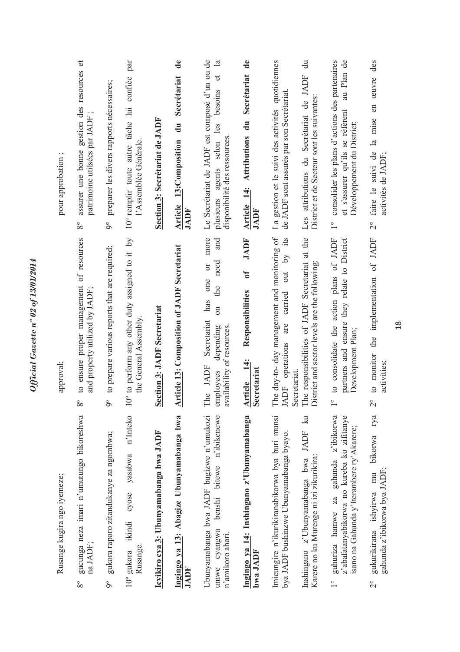| pour approbation;           | assurer une bonne gestion des resources et<br>patrimoine utilsées par JADF;<br>$8^{\circ}$ | preparer les divers rapports nécessaires;<br>$\delta$     | par<br>confiée<br>10° remplir toute autre tâche lui<br>l'Assemblée Générale.<br>$\overline{S}$ | Section 3: Secrétariat de JADF         | $\ddot{\mathbf{e}}$<br>Secrétariat<br>Article 13:Composition du<br>JADF | Le Secrétariat de JADF est composé d'un ou de<br>$\mathbf{a}$<br>đ<br>besoins<br>selon les<br>disponibilité des ressources.<br>plusieurs agents<br>more<br>and | $\ddot{\mathbf{d}}$ e<br>Secrétariat<br>$\ddot{a}$<br><b>Attributions</b><br>Article 14:<br>JADF<br><b>JADF</b> | La gestion et le suivi des activités quotidiennes<br>de JADF sont assurés par son Secrétariat.<br>its                      | $\ddot{a}$<br>Les attributions du Secrétariat de JADF<br>District et de Secteur sont les suivantes:              | au Plan de<br>consolider les plans d'actions des partenaires<br>et s'assurer qu'ils se réfèrent<br>Développement du District;<br>$\frac{1}{1}$                   | des<br>faire le suivi de la mise en œuvre<br>activités de JADF;<br>$\frac{1}{2}$                     |
|-----------------------------|--------------------------------------------------------------------------------------------|-----------------------------------------------------------|------------------------------------------------------------------------------------------------|----------------------------------------|-------------------------------------------------------------------------|----------------------------------------------------------------------------------------------------------------------------------------------------------------|-----------------------------------------------------------------------------------------------------------------|----------------------------------------------------------------------------------------------------------------------------|------------------------------------------------------------------------------------------------------------------|------------------------------------------------------------------------------------------------------------------------------------------------------------------|------------------------------------------------------------------------------------------------------|
| approval;                   | to ensure proper management of resources<br>and property utilized by JADF;<br>$8^{\circ}$  | to prepare various reports that are required;<br>$\delta$ | 0° to perform any other duty assigned to it<br>the General Assembly                            | <b>Section 3: JADF Secretariat</b>     | <b>Article 13: Composition of JADF Secretariat</b>                      | need<br>$\overline{0}$<br>one<br>the<br>has<br>$\overline{\mathrm{m}}$<br>Secretariat<br>availability of resources.<br>depending<br>The JADF<br>esovolqme      | $\mathfrak{h}$<br>Responsibilities<br>$\frac{4}{3}$<br>Secretariat<br><b>Article</b>                            | The day-to- day management and monitoring of<br>$\tilde{\mathcal{S}}$<br>out<br>carried<br>are<br>operations<br><b>ADF</b> | The responsibilities of JADF Secretariat at the<br>District and sector levels are the following:<br>secretariat. | partners and ensure they relate to District<br>to consolidate the action plans of JADF<br>Development Plan;<br>$\circ$                                           | to monitor the implementation of JADF<br>activities;<br>$\overset{\circ}{\sim}$                      |
| Rusange kugira ngo iyemeze; | gucunga neza imari n'umutungo bikoreshwa<br>na JADF;<br>$8^{\circ}$                        | gukora raporo zitandukanye za ngombwa;<br>$\delta$        | n'Inteko<br>yasabwa<br>cyose<br>ikindi<br>Rusange.<br>$10^{\circ}$ gukora                      | Icyikiro cya 3: Ubunyamabanga bwa JADF | Ingingo ya 13: Abagize Ubunyamabanga bwa<br>JADF                        | Ubunyamabanga bwa JADF bugizwe n'umukozi<br>n'ibikenewe<br>benshi bitewe<br>cyangwa<br>n'amikoro ahari.<br>umwe                                                | Ingingo ya 14: Inshingano z'Ubunyamabanga<br>bwa JADF                                                           | Imicungire n'ikurikiranabikorwa bya buri munsi<br>bya JADF bushinzwe Ubunyamabanga byayo.                                  | $\mathbb{R}$<br>Inshingano z'Ubunyamabanga bwa JADF<br>Karere no ku Murenge ni izi zikurikira:                   | z'ibikorwa<br>z'abafatanyabikorwa no kureba ko zifitanye<br>isano na Gahunda y'Iterambere ry'Akarere;<br>gahunda<br>hamwe za<br>guhuriza<br>$\frac{1}{\sqrt{2}}$ | rya<br>bikorwa<br>gahunda z'ibikorwa bya JADF;<br>mu<br>gukurikirana ishyirwa<br>$\overline{\Omega}$ |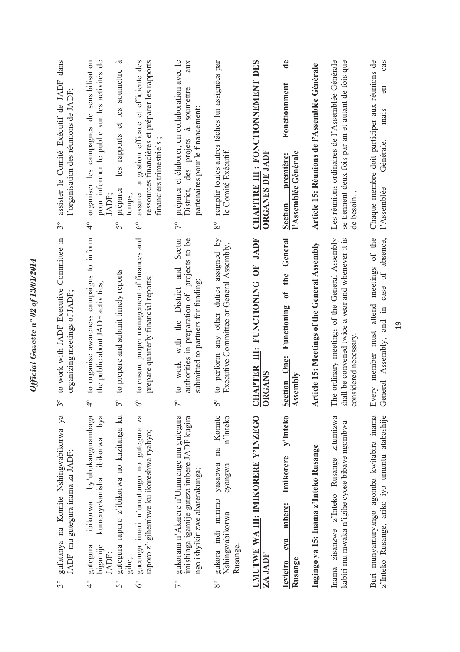| gufatanya na Komite Nshingwabikorwa ya<br>JADF mu gutegura inama za JADF;<br>$\sim$                                                         |                       | to work with JADF Executive<br>organizing meetings of JADF<br>$\approx$                                                                   | Committee in             | dans<br>assister le Comité Exécutif de JADF<br>l'organisation des réunions de JADF;<br>$3^{\circ}$                                                                            |
|---------------------------------------------------------------------------------------------------------------------------------------------|-----------------------|-------------------------------------------------------------------------------------------------------------------------------------------|--------------------------|-------------------------------------------------------------------------------------------------------------------------------------------------------------------------------|
| by'ubukangurambaga<br>kumenyekanisha ibikorwa<br>ibikorwa<br>bigamije<br>gutegura<br>JADF;<br>$\frac{1}{4}$                                 | bya                   | to organise awareness campaigns to inform<br>the public about JADF activities;<br>$\overset{\circ}{\tau}$                                 |                          | organiser les campagnes de sensibilisation<br>pour informer le public sur les activités de<br>JADF;<br>$\frac{1}{4}$                                                          |
| gutegura raporo z'ibikorwa no kuzitanga ku<br>gihe;<br>$\circ$<br>$\overline{5}$                                                            |                       | to prepare and submit timely reports<br>$\frac{1}{2}$                                                                                     |                          | .ದ<br>soumettre<br>les rapports et les<br>préparer<br>temps;<br>$\mathcal{S}^{\circ}$                                                                                         |
| gucunga imari n'umutungo no gutegura<br>raporo z'igihembwe ku ikoreshwa ryabyo;<br>$\delta^{\circ}$                                         | Za                    | to ensure proper management of finances and<br>prepare quarterly financial reports;<br>ಲ                                                  |                          | gestion efficace et efficiente des<br>ressources financières et préparer les rapports<br>financiers trimestriels<br>assurer la<br>$\delta^{\circ}$                            |
| gukorana n'Akarere n'Umurenge mu gutegura<br>imishinga igamije guteza imbere JADF kugira<br>ngo ishyikirizwe abaterakunga;<br>$\frac{1}{2}$ |                       | and<br>submitted to partners for funding<br>with the District<br>authorities in preparation of<br>work<br>$\overline{c}$<br>$\frac{1}{2}$ | Sector<br>projects to be | préparer et élaborer, en collaboration avec le<br>aux<br>soumettre<br>partenaires pour le financement;<br>$\tilde{\sigma}$<br>des projets<br>District,<br>$\tilde{7}^{\circ}$ |
| gukora indi mirimo yasabwa<br>cyangwa<br>Nshingwabikorwa<br>Rusange.<br>$8^{\circ}$                                                         | na Komite<br>n'Inteko | to perform any other duties assigned by<br>Executive Committee or General Assembly.<br>$\infty$                                           |                          | remplir toutes autres tâches lui assignées par<br>le Comité Exécutif<br>$8^{\circ}$                                                                                           |
| UMUTWE WA III: IMIKORERE Y'INZEGO<br>ZA JADF                                                                                                |                       | CHAPTER III: FUNCTIONING OF JADF<br>ORGANS                                                                                                |                          | CHAPITRE III : FONCTIONNEMENT DES<br><b>ORGANES DE JADF</b>                                                                                                                   |
| Imikorere<br>mbere:<br>cya<br>Rusange<br><b>Icyiciro</b>                                                                                    | y'Inteko              | the<br>$\mathfrak{b}$<br>Functioning<br><b>Section One:</b><br>Assembly                                                                   | General                  | $\mathbf{d}\mathbf{e}$<br>Fonctionnment<br>l'Assemblée Générale<br>première:<br><b>Section</b>                                                                                |
| Ingingo ya 15: Inama z'Inteko Rusange                                                                                                       |                       | Article 15: Meetings of the General Assembly                                                                                              |                          | Article 15: Réunions de l'Assemblée Générale                                                                                                                                  |
| zisanzwe z'Inteko Rusange zitumizwa<br>kabiri mu mwaka n'igihe cyose bibaye ngombwa<br>Inama                                                |                       | The ordinary meetings of the General Assembly<br>shall be convened twice a year and whenever it is<br>considered necessary                |                          | Les réunions ordinaires de l'Assemblée Générale<br>se tiennent deux fois par an et autant de fois que<br>de besoin                                                            |
| Buri munyamuryango agomba kwitabira inama<br>z'Inteko Rusange, ariko iyo umuntu atabashije                                                  |                       | Every member must attend meetings of the<br>case of absence,<br>and in<br>General Assembly,                                               |                          | Chaque membre doit participer aux réunions de<br>cas<br>en<br>mais<br>Générale,<br>l'Assemblée                                                                                |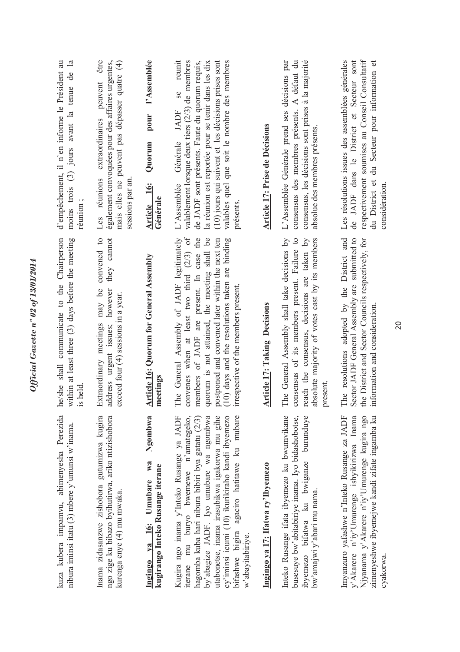| kuza kubera impamvu, abimenyesha Perezida<br>nibura iminsi itatu (3) mbere y'umunsi w'inama                                                                                                                                                                                                                                                                  | she shall communicate to the Chairperson<br>within at least three (3) days before the meeting<br>is held<br>he                                                                                                                                                                                                                    | d'empêchement, il n'en informe le Président au<br>moins trois $(3)$ jours avant la tenue de la<br>réunion;                                                                                                                                                                                                                             |
|--------------------------------------------------------------------------------------------------------------------------------------------------------------------------------------------------------------------------------------------------------------------------------------------------------------------------------------------------------------|-----------------------------------------------------------------------------------------------------------------------------------------------------------------------------------------------------------------------------------------------------------------------------------------------------------------------------------|----------------------------------------------------------------------------------------------------------------------------------------------------------------------------------------------------------------------------------------------------------------------------------------------------------------------------------------|
| Inama zidasanzwe zishobora gutumizwa kugira<br>ngo zige ku bibazo byihutirwa, ariko ntizishobora<br>kurenga enye (4) mu mwaka.                                                                                                                                                                                                                               | convened to<br>they cannot<br>Extraordinary meetings may be<br>address urgent issues; however<br>exceed four (4) sessions in a year.                                                                                                                                                                                              | être<br>également convoquées pour des affaires urgentes,<br>mais elles ne peuvent pas dépasser quatre (4)<br>peuvent<br>Les réunions extraordinaires<br>sessions par an                                                                                                                                                                |
| Ngombwa<br>Ingingo ya 16: Umubare wa<br>kugirango Inteko Rusange iterane                                                                                                                                                                                                                                                                                     | <b>Article 16: Quorum for General Assembly</b><br>meetings                                                                                                                                                                                                                                                                        | l'Assemblée<br>pour<br>Quorum<br>Article 16:<br>Générale                                                                                                                                                                                                                                                                               |
| mu buryo bwemewe n'amategeko,<br>utabonetse, inama irasubikwa igakorwa mu gihe<br>by'abagize JADF. Iyo umubare wa ngombwa<br>cy'iminsi icumi (10) ikurikiraho kandi ibyemezo<br>agaciro hatitawe ku mubare<br>Kugira ngo inama y'Inteko Rusange ya JADF<br>hagomba kuba hari nibura bibiri bya gatatu (2/3)<br>bifashwe bigira<br>w'abayitabiriye<br>iterane | convenes when at least two third (2/3) of<br>The General Assembly of JADF legitimately<br>members of JADF are present. In case the<br>quorum is not attained, the meeting shall be<br>postponed and convened later within the next ten<br>(10) days and the resolutions taken are binding<br>irrespective of the members present. | reunit<br>valables quel que soit le nombre des membres<br>valablement lorsque deux tiers $(2/3)$ de membres<br>de JADF sont présents. Faute du quorum requis,<br>(10) jours qui suivent et les décisions prises sont<br>la réunion est reportée pour se tenir dans les dix<br><b>Se</b><br>JADF<br>Générale<br>L'Assemblée<br>présents |
| Ingingo ya 17: Ifatwa ry'Ibyemezo                                                                                                                                                                                                                                                                                                                            | <b>Article 17: Taking Decisions</b>                                                                                                                                                                                                                                                                                               | Article 17: Prise de Décisions                                                                                                                                                                                                                                                                                                         |
| Inteko Rusange ifata ibyemezo ku bwumvikane<br>busesuye bw'abitabiriye inama. Iyo bidashobotse,<br>ibyemezo bifatwa ku bwiganze burunduye<br>bw'amajwi y'abari mu nama.                                                                                                                                                                                      | The General Assembly shall take decisions by<br>consensus of its members present. Failure to<br>reach the consensus, decisions are taken by<br>absolute majority of votes cast by its members<br>present                                                                                                                          | consensus des membres présents. A défaut du<br>consensus, les décisions sont prises à la majorité<br>L'Assemblée Générale prend ses décisions par<br>absolue des membres présents.                                                                                                                                                     |
| Imyanzuro yafashwe n'Inteko Rusange za JADF<br>y'Akarere n'iy'Umurenge ishyikirizwa Inama<br>Njyanama y'Akarere n'iy'Umurenge kugira ngo<br>zimenyeshwe ibyemejwe kandi zifate ingamba ku<br>cyakorwa.                                                                                                                                                       | The resolutions adopted by the District and<br>Sector JADF General Assembly are submitted to<br>the District and Sector Councils respectively, for<br>information and consideration.                                                                                                                                              | respectivement soumises au Conseil Consultatif<br>Les résolutions issues des assemblées générales<br>de JADF dans le District et Secteur sont<br>du District et du Secteur pour information et<br>considération.                                                                                                                       |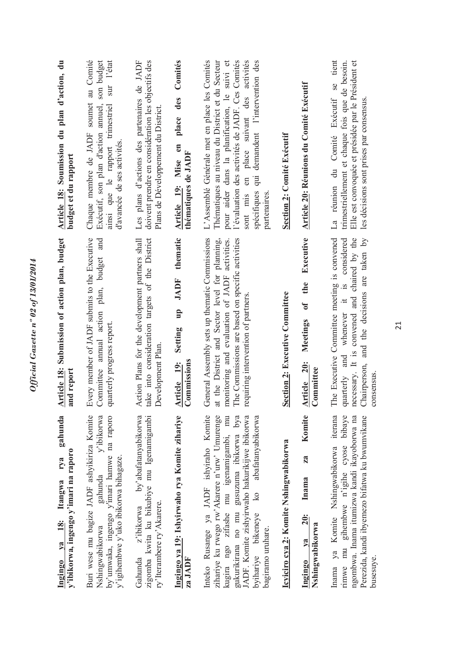| gahunda<br>rya<br>Itangwa<br><u>18:</u><br>$1$<br>Ingingo                                                                                                                                                                                                                                                                     | Article 18: Submission of action plan, budget<br>and report                                                                                                                                                                                 | Article 18: Soumission du plan d'action, du                                                                                                                                                                                                                                                                                |
|-------------------------------------------------------------------------------------------------------------------------------------------------------------------------------------------------------------------------------------------------------------------------------------------------------------------------------|---------------------------------------------------------------------------------------------------------------------------------------------------------------------------------------------------------------------------------------------|----------------------------------------------------------------------------------------------------------------------------------------------------------------------------------------------------------------------------------------------------------------------------------------------------------------------------|
| Buri wese mu bagize JADF ashyikiriza Komite<br>by'umwaka, ingengo y'imari hamwe na raporo<br>y'ibikorwa<br>y'ibikorwa, ingengo y'imari na raporo<br>y'igihembwe y'uko ibikorwa bihagaze.<br>gahunda<br>Nshingwabikorwa                                                                                                        | Every member of JADF submits to the Executive<br>and<br>Committee annual action plan, budget<br>quarterly progress report.                                                                                                                  | au Comité<br>sur l'état<br>son budget<br>Chaque membre de JADF soumet<br>Exécutif, son plan d'action annuel,<br>ainsi que le rapport trimestriel<br>d'avancée de ses activités.<br>budget et du rapport                                                                                                                    |
| by'abafatanyabikorwa<br>zigomba kwita ku bikubiye mu Igenamigambi<br>z'ibikorwa<br>ry'Iterambere ry'Akarere.<br>Gahunda                                                                                                                                                                                                       | take into consideration targets of the District<br>Action Plans for the development partners shall<br>Development Plan.                                                                                                                     | Les plans d'actions des partenaires de JADF<br>doivent prendre en considération les objectifs des<br>Plans de Développement du District.                                                                                                                                                                                   |
| Ingingo ya 19: Ishyirwaho rya Komite zihariye<br>za JADF                                                                                                                                                                                                                                                                      | thematic<br>JADF<br>$\mathbf{u}$<br>Setting<br>Commissions<br>Article 19:                                                                                                                                                                   | Comités<br>des<br>place<br>Article 19: Mise en<br>thématiques de JADF                                                                                                                                                                                                                                                      |
| Inteko Rusange ya JADF ishyiraho Komite<br>zihariye ku rwego rw'Akarere n'urw' Umurenge<br>mu<br>abafatanyabikorwa<br>gusuzuma ibikorwa bya<br>JADF. Komite zishyirwaho hakurikijwe ibikorwa<br>kugira ngo zifashe mu igenamigambi,<br>$\overline{\text{K}}$<br>gukurikirana no mu<br>byihariye bikeneye<br>bagiramo uruhare. | General Assembly sets up thematic Commissions<br>The Commissions are based on specific activities<br>at the District and Sector level for planning,<br>monitoring and evaluation of JADF activities.<br>requiring intervention of partners. | Thématiques au niveau du District et du Secteur<br>l'évaluation des activités de JADF. Ces Comités<br>L'Assemblé Générale met en place les Comités<br>pour aider dans la planification, le suivi et<br>sont mis en place suivant des activités<br>demandent l'intervention des<br>$\ddot{a}$<br>spécifiques<br>partenaires |
| Icyiciro cya 2: Komite Nshingwabikorwa                                                                                                                                                                                                                                                                                        | Section 2: Executive Committee                                                                                                                                                                                                              | <b>Section 2: Comité Exécutif</b>                                                                                                                                                                                                                                                                                          |
| Komite<br>za<br>Inama<br>20:<br>Nshingwabikorwa<br>$1$<br>Ingingo                                                                                                                                                                                                                                                             | Executive<br>the<br>$\mathbf{a}^2$<br>Meetings<br>Article 20:<br>Committee                                                                                                                                                                  | <b>Article 20: Réunions du Comité Exécutif</b>                                                                                                                                                                                                                                                                             |
| Perezida, kandi ibyemezo bifatwa ku bwumvikane<br>iterana<br>rimwe mu gihembwe n'igihe cyose bibaye<br>ngombwa. Inama itumizwa kandi ikayoborwa na<br>ya Komite Nshingwabikorwa<br>busesuye.<br>Inama                                                                                                                         | necessary. It is convened and chaired by the<br>Chairperson, and the decisions are taken by<br>The Executive Committee meeting is convened<br>whenever it is considered<br>quarterly and<br>consensus.                                      | se tient<br>Elle est convoquée et présidée par le Président et<br>trimestriellement et chaque fois que de besoin.<br>La réunion du Comité Exécutif<br>les décisions sont prises par consensus.                                                                                                                             |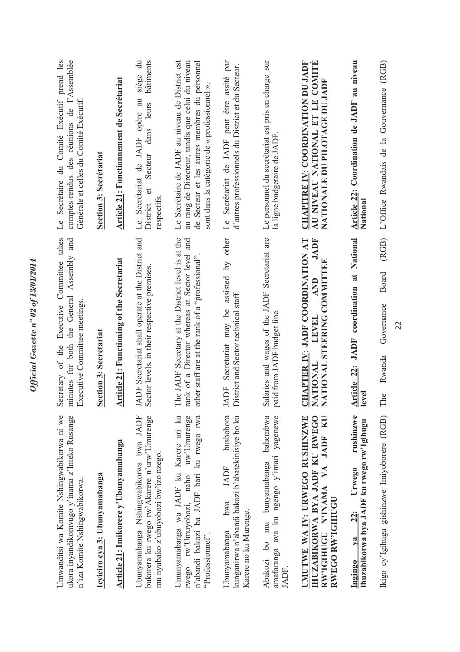| Umwanditsi wa Komite Nshingwabikorwa ni we<br>ukora inyandikomvugo y'inama z'Inteko Rusange<br>n'iza Komite Nshingwabikorwa.                    | takes<br>minutes for both the General Assembly and<br>Executive Committee<br>Executive Committee meetings<br>Secretary of the                           | du Comité Exécutif prend les<br>comptes-rendus des réunions de l'Assemblée<br>Générale et celles du Comité Exécutif.<br>Secrétaire<br>Le                                                             |
|-------------------------------------------------------------------------------------------------------------------------------------------------|---------------------------------------------------------------------------------------------------------------------------------------------------------|------------------------------------------------------------------------------------------------------------------------------------------------------------------------------------------------------|
| Icyiciro cya 3: Ubunyamabanga                                                                                                                   | Section 3: Secretariat                                                                                                                                  | <b>Section 3: Secrétariat</b>                                                                                                                                                                        |
| Article 21: Imikorere y'Ubunyamabanga                                                                                                           | <b>Article 21:</b> Functioning of the Secretariat                                                                                                       | <b>Article 21: Fonctionnement de Secrétariat</b>                                                                                                                                                     |
| Ubunyamabanga Nshingwabikorwa bwa JADF<br>bukorera ku rwego rw'Akarere n'urw'Umurenge<br>mu nyubako z'ubuyobozi bw'izo nzego.                   | JADF Secretariat shall operate at the District and<br>Sector levels, in their respective premises.                                                      | $\ddot{a}$<br>bâtiments<br>siège<br>Le Secrétariat de JADF opère au<br>leurs<br>dans<br>Secteur<br>$\sigma$<br>respectifs<br>District                                                                |
| Umunyamabanga wa JADF ku Karere ari ku<br>rwego rw'Umuyobozi, naho uw'Umurenge<br>n'abandi bakozi ba JADF bari ku rwego rwa<br>"Professionnel". | The JADF Secretary at the District level is at the<br>rank of a Director whereas at Sector level and<br>other staff are at the rank of a "professional" | Le Secrétaire de JADF au niveau de District est<br>au rang de Directeur, tandis que celui du niveau<br>de Secteur et les autres membres du personnel<br>sont dans la catégorie de « professionnel ». |
| bushobora<br>kunganirwa n'abandi bakozi b'abatekinisiye bo ku<br>JADF<br>bwa<br>Karere no ku Murenge.<br>Ubunyamabanga                          | other<br>$\overline{5}$<br>assisted<br>District and Sector technical staff.<br>Secretariat may be<br>JADF                                               | Secrétariat de JADF peut être assité par<br>d'autres professionnels du District et du Secteur.<br>$\overline{\mathbb{L}}$                                                                            |
| bahembwa<br>amafaranga ava ku ngengo y'imari yagenewe<br>Abakozi bo mu bunyamabanga<br>JADF.                                                    | Salaries and wages of the JADF Secretariat are<br>paid from JADF budget line                                                                            | sur<br>Le personnel du secrétariat est pris en charge<br>la ligne budgetaire de JADF                                                                                                                 |
| <b>IHUZABIKORWA BYA JADF KU RWEGO</b><br>UMUTWE WA IV: URWEGO RUSHINZWE<br>RW'IGHUGU N'INAMA YA JADF KU<br>RWEGO RW'IGIHUGU                     | CHAPTER IY: JADF COORDINATION AT<br><b>JADF</b><br>ATIONAL STEERING COMMITTEE<br><b>AND</b><br>LEVEL<br><b>NATIONAL</b><br>Z                            | <b>CHAPITRE IV: COORDINATION DU JADF</b><br>AU NIVEAU NATIONAL ET LE COMITÉ<br>NATIONALE DU PILOTAGE DU JADF                                                                                         |
| rushinzwe<br>Ihuzabikorwa bya JADF ku rwego rw'lgihugu<br>Urwego<br><b>22:</b><br>$\mathbf{v}$ a<br><b>Ingingo</b>                              | Article 22: JADF coordination at National<br>level                                                                                                      | Article 22: Coordination de JADF au niveau<br>National                                                                                                                                               |
| Ikigo cy'lgihugu gishinzwe Imiyoborere (RGB)                                                                                                    | (RGB)<br><b>Board</b><br>Governance<br>Rwanda<br>The                                                                                                    | L'Office Rwandais de la Gouvernance (RGB)                                                                                                                                                            |
|                                                                                                                                                 | 22                                                                                                                                                      |                                                                                                                                                                                                      |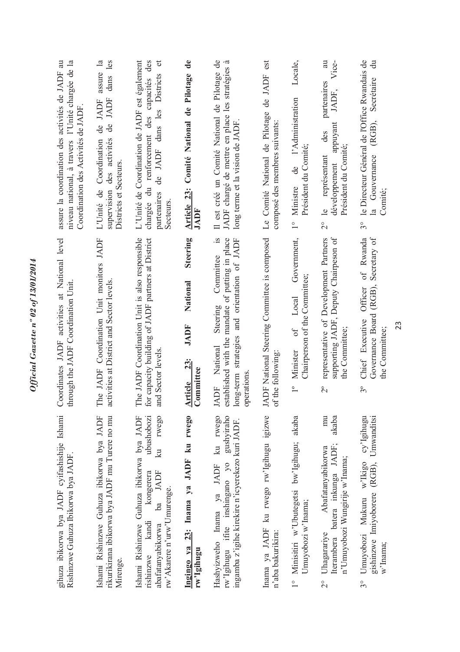| assure la coordination des activités de JADF au<br>niveau national, à travers l'Unité chargée de la<br>Coordination des Activités de JADF | assure la<br>dans les<br>JADF<br>de JADF<br>de<br>supervision des activités<br>Coordination<br>Districts et Secteurs.<br>L'Unité de | L'Unité de Coordination de JADF est également<br>chargée du renforcement des capacités des<br>$\sigma$<br>Districts<br>de JADF dans les<br>partenaires<br><b>Secteurs</b>                    | Article 23: Comité National de Pilotage de<br>JADF                               | Il est créé un Comité National de Pilotage de<br>.ದ<br>JADF chargé de mettre en place les stratégies<br>long terme et la vision de JADF<br>$\frac{1}{2}$ .             | est<br>de JADF<br>Le Comité National de Pilotage<br>composé des membres suivants: | Locale,<br>l'Administration<br>Président du Comité;<br>de<br>Ministre<br>$\overset{\circ}{\phantom{0}}$   | Vice-<br>a<br>partenaires<br>JADF,<br>appuyant<br>des<br>Président du Comité;<br>représentant<br>développement<br>$\triangle$<br>$\overset{\circ}{\sim}$ | le Directeur Général de l'Office Rwandais de<br>ਰ $\vec{v}$<br>Secrétaire<br>(RGB),<br>Gouvernance<br>Comité;<br>$\mathbf{a}$<br>$\mathcal{S}^{\circ}$ |
|-------------------------------------------------------------------------------------------------------------------------------------------|-------------------------------------------------------------------------------------------------------------------------------------|----------------------------------------------------------------------------------------------------------------------------------------------------------------------------------------------|----------------------------------------------------------------------------------|------------------------------------------------------------------------------------------------------------------------------------------------------------------------|-----------------------------------------------------------------------------------|-----------------------------------------------------------------------------------------------------------|----------------------------------------------------------------------------------------------------------------------------------------------------------|--------------------------------------------------------------------------------------------------------------------------------------------------------|
| Coordinates JADF activities at National level<br>through the JADF Coordination Unit                                                       | The JADF Coordination Unit monitors JADF<br>activities at District and Sector levels.                                               | The JADF Coordination Unit is also responsible<br>for capacity building of JADF partners at District<br>and Sector levels.                                                                   | <b>Steering</b><br>National<br><b>JADF</b><br><b>23:</b><br>Committee<br>Article | established with the mandate of putting in place<br>and orientation of JADF<br>Committee<br>Steering<br>long-term strategies<br>National<br>operations.<br><b>JADF</b> | ADF National Steering Committee is composed<br>of the following:                  | Government,<br>Chairperson of the Committee;<br>Local<br>$\sigma$ f<br>Minister<br>$\overline{1}^{\circ}$ | supporting JADF, Deputy Chairpeson of<br>representative of Development Partners<br>the Committee;<br>$\frac{1}{2}$                                       | Secretary of<br>of Rwanda<br>Governance Board (RGB),<br>Officer<br>Chief Executive<br>the Committee;<br>$3^{\circ}$                                    |
| gihuza ibikorwa bya JADF cyifashishije Ishami<br>Rishinzwe Guhuza Ibikorwa bya JADF                                                       | rikurikirana ibikorwa bya JADF mu Turere no mu<br>Ishami Rishinzwe Guhuza ibikorwa bya JADF<br>Mirenge.                             | ubushobozi<br>rwego<br>Ishami Rishinzwe Guhuza ibikorwa bya JADF<br>$\overline{\mathbf{z}}$<br>ba JADF<br>kongerera<br>rw'Akarere n'urw'Umurenge.<br>kandi<br>abafatanyabikorwa<br>rishinzwe | 23: Inama ya JADF ku rwego<br>Ingingo ya<br>rw'Igihugu                           | Hashyizweho Inama ya JADF ku rwego<br>rw'lgihugu ifite inshingano yo gushyiraho<br>ingamba z'igihe kirekire n'icyerekezo kuri JADF.                                    | Inama ya JADF ku rwego rw'Igihugu igizwe<br>n'aba bakurikira:                     | akaba<br>1° Minisitiri w'Ubutegetsi bw'Igihugu;<br>Umuyobozi w'Inama;                                     | mu<br>akaba<br>Iterambera batera inkunga JADF;<br>Abafatanyabikorwa<br>n'Umuyobozi Wungirije w'Inama;<br>Uhagarariye<br>$\frac{1}{2}$                    | Umuyobozi Mukuru w'Ikigo cy'Igihugu<br>gishinzwe Imiyoborere (RGB), Umwanditsi<br>w'Inama;<br>30                                                       |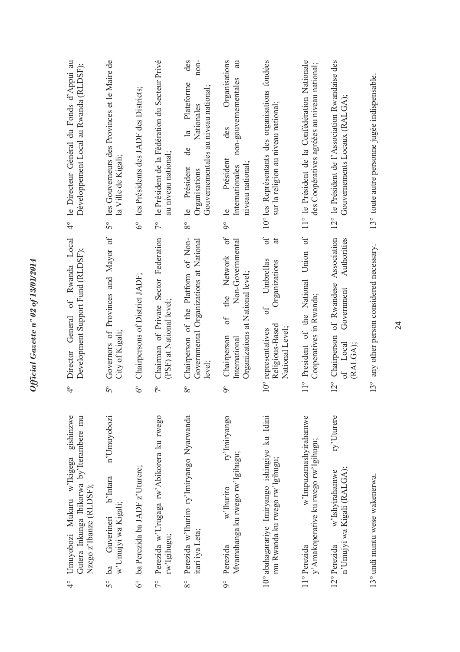| $\frac{1}{2}$ | gishinzwe<br>Gutera Inkunga Ibikorwa by'Iterambere mu<br>Umuyobozi Mukuru w'Ikigega<br>Nzego z'Ibanze (RLDSF); | General of Rwanda Local<br>Development Support Fund (RLDSF);<br>Director<br>$\frac{1}{4}$                                            | le Directeur Général du Fonds d'Appui au<br>Développement Local au Rwanda (RLDSF);<br>$\frac{1}{4}$                                                                 |
|---------------|----------------------------------------------------------------------------------------------------------------|--------------------------------------------------------------------------------------------------------------------------------------|---------------------------------------------------------------------------------------------------------------------------------------------------------------------|
|               | n'Umuyobozi<br>b'Intara<br>w'Umujyi wa Kigali;<br>Guverineri<br>$5^{\circ}$ ba                                 | Governors of Provinces and Mayor of<br>City of Kigali;<br>$5^{\circ}$                                                                | les Gouverneurs des Provinces et le Maire de<br>la Ville de Kigali;<br>$5^{\circ}$                                                                                  |
|               | 6° ba Perezida ba JADF z'Uturere;                                                                              | Chairpersons of District JADF;<br>$\delta^{\circ}$                                                                                   | les Présidents des JADF des Districts;<br>$6^\circ$                                                                                                                 |
|               | 7° Perezida w'Urugaga rw'Abikorera ku rwego<br>rw'Igihugu;                                                     | Chairman of Private Sector Federation<br>(PSF) at National level;<br>$7^{\circ}$                                                     | le Président de la Fédération du Secteur Privé<br>au niveau national;<br>$\tilde{7}^{\circ}$                                                                        |
| $8^{\circ}$   | Perezida w'Ihuriro ry'Imiryango Nyarwanda<br>itari iya Leta;                                                   | Chairperson of the Platform of Non-<br>Governmental Organizations at National<br>level:<br>$8^{\circ}$                               | des<br>non-<br>Plateforme<br>Gouvernementales au niveau national;<br>Nationales<br>$\overline{a}$<br>de<br>Président<br>Organisations<br>$\triangle$<br>$8^{\circ}$ |
| $9^\circ$     | ry'Imiryango<br>Mvamahanga ku rwego rw'Igihugu;<br>w'Ihuriro<br>Perezida                                       | $\sigma$<br>Non-Governmental<br>Network<br>Organizations at National level;<br>the<br>6f<br>Chairperson<br>International<br>$\delta$ | Organisations<br>au<br>non-gouvernementales<br>des<br>Président<br>niveau national;<br>Internationales<br>$\overline{e}$<br>$\delta$                                |
|               | 10° abahagarariye Imiryango ishingiye ku Idini<br>mu Rwanda ku rwego rw'Igihugu;                               | $\sigma$<br>$\vec{a}$<br>Umbrellas<br>Organizations<br>$\sigma$<br>Religious-Based<br>National Level;<br>10° representatives         | 10° les Représentants des organisations fondées<br>sur la religion au niveau national;                                                                              |
|               | w'Impuzamashyirahamwe<br>y' Amakoperative ku rwego rw'lgihugu;<br>11° Perezida                                 | 11° President of the National Union of<br>Cooperatives in Rwanda;                                                                    | 11° le Président de la Confédération Nationale<br>des Coopératives agréées au niveau national;                                                                      |
|               | ry'Uturere<br>n'Umujyi wa Kigali (RALGA);<br>w'Ishyirahamwe<br>12° Perezida                                    | Association<br>Authorities<br>of Rwandese<br>Government<br>12° Chairperson<br>of Local<br>(RALGA):                                   | 12° le Président de l'Association Rwandaise des<br>Gouvernements Locaux (RALGA);                                                                                    |
|               | 13° undi muntu wese wakenerwa.                                                                                 | 13° any other person considered necessary.                                                                                           | 13° toute autre personne jugée indispensable.                                                                                                                       |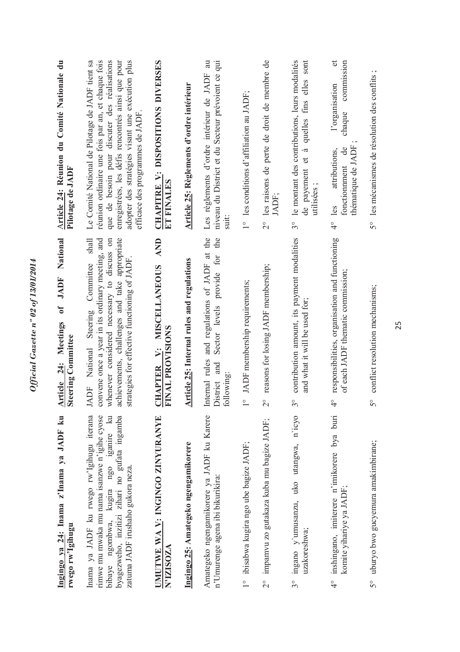| Ingingo ya 24: Inama z'Inama ya JADF ku<br>rwego rw'lgihugu                                                                                                                                                                 | National<br>of JADF<br>Meetings<br>Steering Committee<br>24:<br><b>Article</b>                                                                                                                                                                    | Article 24: Réunion du Comité Nationale du<br>Pilotage de JADF                                                                                                                                                                                                                                   |
|-----------------------------------------------------------------------------------------------------------------------------------------------------------------------------------------------------------------------------|---------------------------------------------------------------------------------------------------------------------------------------------------------------------------------------------------------------------------------------------------|--------------------------------------------------------------------------------------------------------------------------------------------------------------------------------------------------------------------------------------------------------------------------------------------------|
| byagezweho, inzitizi zihari no gufata ingamba<br>Inama ya JADF ku rwego rw'Igihugu iterana<br>rimwe mu mwaka mu nama isanzwe n'igihe cyose<br>kugira ngo iganire ku<br>zatuma JADF irushaho gukora neza.<br>bibaye ngombwa, | achievements, challenges and take appropriate<br>Committee shall<br>convene once a year in its ordinary meeting, and<br>whenever considered necessary to discuss on<br>strategies for effective functioning of JADF.<br>Steering<br>JADF National | adopter des stratégies visant une exécution plus<br>Le Comité National de Pilotage de JADF tient sa<br>réunion ordinaire une fois par an, et chaque fois<br>que de besoin pour discuter des réalisations<br>enregistrées, les défis rencontrés ainsi que pour<br>efficace des programmes de JADF |
| <b>IMUTWE WA V: INGINGO ZINYURANYE</b><br>N'IZISOZA                                                                                                                                                                         | <b>AND</b><br><b>MISCELLANEOUS</b><br><b>TINAL PROVISIONS</b><br>$\ddot{ }$<br><b>CHAPTER</b>                                                                                                                                                     | CHAPITRE V: DISPOSITIONS DIVERSES<br>ET FINALES                                                                                                                                                                                                                                                  |
| Ingingo 25: Amategeko ngengamikorere                                                                                                                                                                                        | <b>Article 25: Internal rules and regulations</b>                                                                                                                                                                                                 | Article 25: Règlements d'ordre intérieur                                                                                                                                                                                                                                                         |
| Amategeko ngengamikorere ya JADF ku Karere<br>n'Umurenge agena ibi bikurikira:                                                                                                                                              | Internal rules and regulations of JADF at the<br>the<br>provide for<br>Sector levels<br>District and<br>ollowing:                                                                                                                                 | Les règlements d'ordre intérieur de JADF au<br>niveau du District et du Secteur prévoient ce qui                                                                                                                                                                                                 |
| ibisabwa kugira ngo ube bagize JADF;<br>$\frac{1}{1}$                                                                                                                                                                       | JADF membership requirements;<br>$\circ$                                                                                                                                                                                                          | 1° les conditions d'affiliation au JADF;                                                                                                                                                                                                                                                         |
| impamvu zo gutakaza kuba mu bagize JADF;<br>$\overline{C}$                                                                                                                                                                  | reasons for losing JADF membership;<br>$\circ$<br>$\sim$                                                                                                                                                                                          | 2° les raisons de perte de droit de membre de<br>JADF;                                                                                                                                                                                                                                           |
| ingano y'umusanzu, uko utangwa, n'icyo<br>uzakoreshwa;<br>$3^{\circ}$                                                                                                                                                       | contribution amount, its payment modalities<br>and what it will be used for;<br>$\circ$<br>$\mathfrak{c}$                                                                                                                                         | elles sont<br>le montant des contributions, leurs modalités<br>fins<br>quelles<br>$\tilde{\mathcal{D}}$<br>$\sigma$<br>de payement<br>$\ddot{\phantom{0}}$<br>utilisées<br>$3^{\circ}$                                                                                                           |
| inshingano, imiterere n'imikorere bya buri<br>komite yihariye ya JADF;<br>$\frac{1}{4}$                                                                                                                                     | responsibilities, organisation and functioning<br>of each JADF thematic commission;<br>$\circ$                                                                                                                                                    | đ<br>commission<br>l'organisation<br>chaque<br>thématique de JADF<br>$\mathrm{d}\mathrm{e}$<br>attributions,<br>fonctionnment<br>$4^\circ$ les                                                                                                                                                   |
| uburyo bwo gucyemura amakimbirane;<br>50                                                                                                                                                                                    | conflict resolution mechanisms;<br>$\circ$<br>n                                                                                                                                                                                                   | les mécanismes de résolution des conflits ;<br>$5^{\circ}$                                                                                                                                                                                                                                       |

Official Gazette nº 02 of 13/01/2014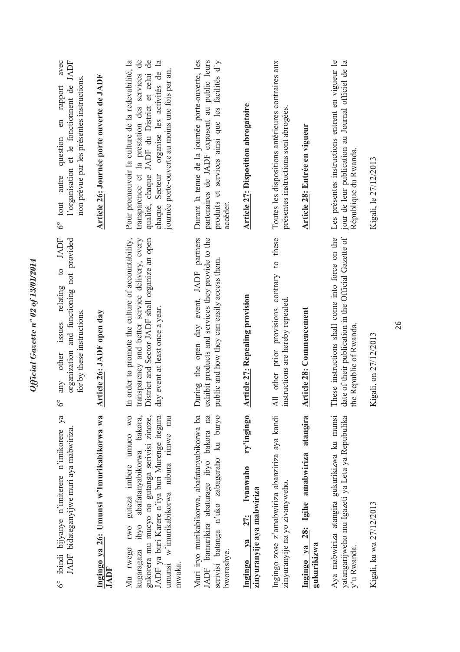| 6° ibindi bijyanye n'imiterere n'imikorere ya<br>JADF bidateganyijwe muri aya mabwiriza                                                                                                                                                                    | to JADF<br>organization and functioning not provided<br>issues relating<br>for by these instructions.<br>other<br>any<br>$\circ$<br>∘                                                      | tout autre question en rapport avec<br>l'organisation et le fonctionnent de JADF<br>non prévue par les présentes instructions.<br>question en rapport<br>$6^{\circ}$ tout autre                                                                                             |
|------------------------------------------------------------------------------------------------------------------------------------------------------------------------------------------------------------------------------------------------------------|--------------------------------------------------------------------------------------------------------------------------------------------------------------------------------------------|-----------------------------------------------------------------------------------------------------------------------------------------------------------------------------------------------------------------------------------------------------------------------------|
| Ingingo ya 26: Umunsi w'Imurikabikorwa wa<br>JADF                                                                                                                                                                                                          | Article 26: JADF open day                                                                                                                                                                  | Article 26: Journée porte ouverte de JADF                                                                                                                                                                                                                                   |
| guteza imbere umuco wo<br>bakora,<br>gukorera mu mucyo no gutanga serivisi zinoze,<br>JADF ya buri Karere n'iya buri Murenge itegura<br>umunsi w'imurikabikorwa nibura rimwe mu<br>ibyo abafatanyabikorwa<br><b>IWO</b><br>Mu rwego<br>kugaragaza<br>mwaka | In order to promote the culture of accountability,<br>ransparency and better service delivery, every<br>District and Sector JADF shall organize an open<br>day event at least once a year. | $\mathsf{d}\mathsf{e}$<br>qualité, chaque JADF du District et celui de<br>Pour promouvoir la culture de la redevabilité, la<br>chaque Secteur organise les activités de la<br>journée porte-ouverte au moins une fois par an.<br>transparence et la prestation des services |
| serivisi batanga n'uko zabageraho ku buryo<br>Muri iryo murikabikorwa, abafatanyabikorwa ba<br>JADF bamurikira abaturage ibyo bakora na<br>bworoshye.                                                                                                      | exhibit products and services they provide to the<br>During the open day event, JADF partners<br>public and how they can easily access them.                                               | Durant la tenue de la journée porte-ouverte, les<br>produits et services ainsi que les facilités d'y<br>partenaires de JADF exposent au public leurs<br>accéder.                                                                                                            |
| ry'ingingo<br>Ivanwaho<br>zinyuranyije aya mabwiriza<br>27:<br>$\mathbf{v}\mathbf{a}$<br>Ingingo                                                                                                                                                           | <b>Article 27: Repealing provision</b>                                                                                                                                                     | <b>Article 27: Disposition abrogatoire</b>                                                                                                                                                                                                                                  |
| Ingingo zose z'amabwiriza abanziriza aya kandi<br>zinyuranyije na yo zivanyweho.                                                                                                                                                                           | All other prior provisions contrary to these<br>instructions are hereby repealed.                                                                                                          | Toutes les dispositions antérieures contraires aux<br>présentes instructions sont abrogées.                                                                                                                                                                                 |
| Ingingo ya 28: Igihe amabwiriza atangira<br>gukurikizwa                                                                                                                                                                                                    | <b>Article 28:</b> Commencement                                                                                                                                                            | Article 28: Entrée en vigueur                                                                                                                                                                                                                                               |
| Aya mabwiriza atangira gukurikizwa ku munsi<br>yatangarijweho mu Igazeti ya Leta ya Repubulika<br>y'u Rwanda.                                                                                                                                              | date of their publication in the Official Gazette of<br>These instructions shall come into force on the<br>the Republic of Rwanda.                                                         | Les présentes instructions entrent en vigueur le<br>jour de leur publication au Journal officiel de la<br>République du Rwanda.                                                                                                                                             |
| Kigali, ku wa 27/12/2013                                                                                                                                                                                                                                   | Kigali, on 27/12/2013                                                                                                                                                                      | Kigali, le 27/12/2013                                                                                                                                                                                                                                                       |